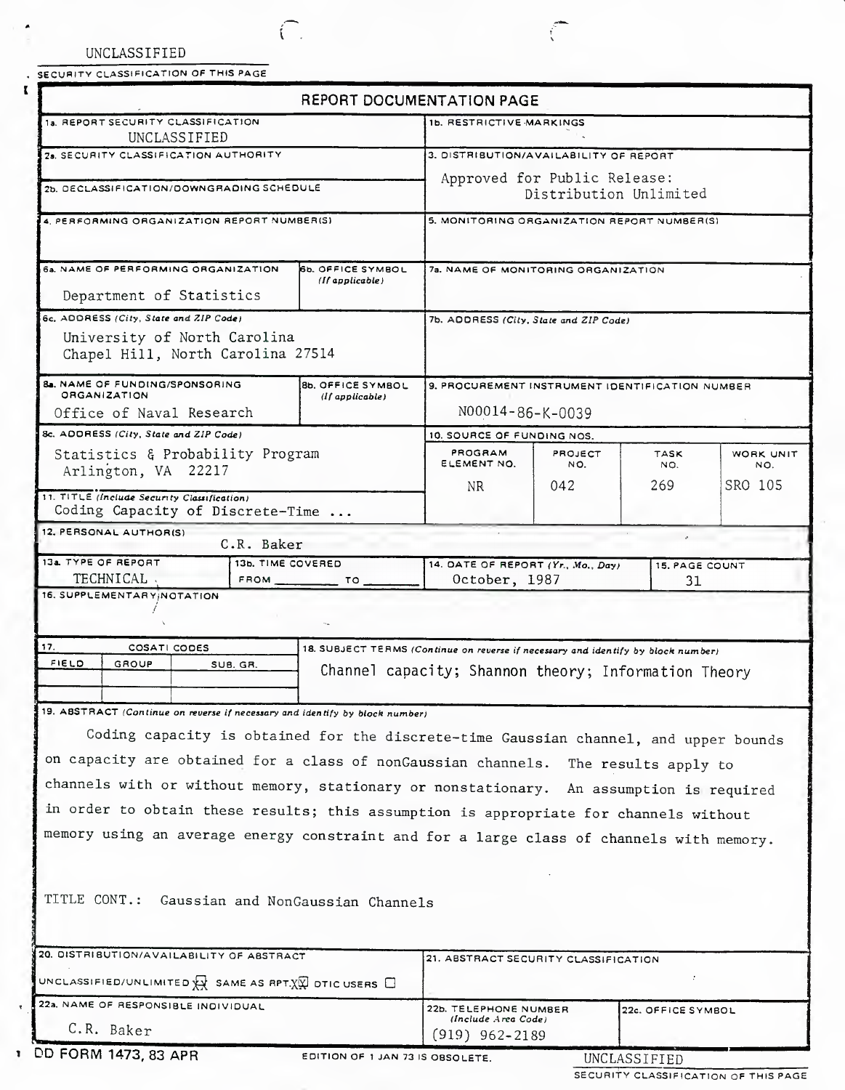UNCLASSIFIED

T

SECURITY CLASSIFICATION OF THIS PAGE

 $\subset$ 

|                                                                                                                                                                         | <b>REPORT DOCUMENTATION PAGE</b>                     |                                                        |                            |                    |                  |  |
|-------------------------------------------------------------------------------------------------------------------------------------------------------------------------|------------------------------------------------------|--------------------------------------------------------|----------------------------|--------------------|------------------|--|
| 1a. REPORT SECURITY CLASSIFICATION<br>UNCLASSIFIED                                                                                                                      |                                                      | 1b. RESTRICTIVE MARKINGS                               |                            |                    |                  |  |
| 28. SECURITY CLASSIFICATION AUTHORITY                                                                                                                                   |                                                      | 3. DISTRIBUTION/AVAILABILITY OF REPORT                 |                            |                    |                  |  |
| 2b. DECLASSIFICATION/DOWNGRADING SCHEDULE                                                                                                                               |                                                      | Approved for Public Release:<br>Distribution Unlimited |                            |                    |                  |  |
| 4. PERFORMING ORGANIZATION REPORT NUMBER(S)                                                                                                                             |                                                      | 5. MONITORING ORGANIZATION REPORT NUMBER(S)            |                            |                    |                  |  |
|                                                                                                                                                                         |                                                      |                                                        |                            |                    |                  |  |
| 6a, NAME OF PERFORMING ORGANIZATION                                                                                                                                     | <b>65. OFFICE SYMBOL</b><br>(If applicable)          | 7a. NAME OF MONITORING ORGANIZATION                    |                            |                    |                  |  |
| Department of Statistics                                                                                                                                                |                                                      |                                                        |                            |                    |                  |  |
| 6c. ADDRESS (City, State and ZIP Code)                                                                                                                                  | 7b. ADDRESS (City, State and ZIP Code)               |                                                        |                            |                    |                  |  |
| University of North Carolina<br>Chapel Hill, North Carolina 27514                                                                                                       |                                                      |                                                        |                            |                    |                  |  |
| 8a. NAME OF FUNDING/SPONSORING                                                                                                                                          | <b>8b. OFFICE SYMBOL</b>                             | 9. PROCUREMENT INSTRUMENT IDENTIFICATION NUMBER        |                            |                    |                  |  |
| <b>ORGANIZATION</b><br>Office of Naval Research                                                                                                                         | (If <i>applied</i> )                                 | N00014-86-K-0039                                       |                            |                    |                  |  |
| 8c. ADDRESS (City, State and ZIP Code)                                                                                                                                  |                                                      |                                                        | 10. SOURCE OF FUNDING NOS. |                    |                  |  |
| Statistics & Probability Program<br>Arlington, VA 22217                                                                                                                 |                                                      | PROGRAM<br>ELEMENT NO.                                 | PROJECT<br>NO.             | <b>TASK</b><br>NO. | WORK UNIT<br>NO. |  |
| 11. TITLE (Include Security Classification)                                                                                                                             |                                                      | NR.                                                    | 042                        | 269                | SRO 105          |  |
|                                                                                                                                                                         | Coding Capacity of Discrete-Time                     |                                                        |                            |                    |                  |  |
| 12. PERSONAL AUTHOR(S)<br>C.R. Baker                                                                                                                                    |                                                      |                                                        |                            |                    |                  |  |
| 13a. TYPE OF REPORT<br>13b. TIME COVERED                                                                                                                                | 14. DATE OF REPORT (Yr., Mo., Day)<br>15. PAGE COUNT |                                                        |                            |                    |                  |  |
| TECHNICAL .<br><b>FROM</b><br>16. SUPPLEMENTARY; NOTATION                                                                                                               | October, 1987<br>31                                  |                                                        |                            |                    |                  |  |
|                                                                                                                                                                         |                                                      |                                                        |                            |                    |                  |  |
| 17.<br>COSATI CODES                                                                                                                                                     |                                                      |                                                        |                            |                    |                  |  |
| 18. SUBJECT TERMS (Continue on reverse if necessary and identify by block number)<br>FIELD<br>GROUP<br>SUB. GR.<br>Channel capacity; Shannon theory; Information Theory |                                                      |                                                        |                            |                    |                  |  |
| 19. ABSTRACT (Continue on reverse if necessary and identify by block number)                                                                                            |                                                      |                                                        |                            |                    |                  |  |
|                                                                                                                                                                         |                                                      |                                                        |                            |                    |                  |  |
| Coding capacity is obtained for the discrete-time Gaussian channel, and upper bounds                                                                                    |                                                      |                                                        |                            |                    |                  |  |
| on capacity are obtained for a class of nonGaussian channels. The results apply to                                                                                      |                                                      |                                                        |                            |                    |                  |  |
| channels with or without memory, stationary or nonstationary. An assumption is required                                                                                 |                                                      |                                                        |                            |                    |                  |  |
| in order to obtain these results; this assumption is appropriate for channels without                                                                                   |                                                      |                                                        |                            |                    |                  |  |
| memory using an average energy constraint and for a large class of channels with memory.                                                                                |                                                      |                                                        |                            |                    |                  |  |
|                                                                                                                                                                         |                                                      |                                                        |                            |                    |                  |  |
|                                                                                                                                                                         |                                                      |                                                        |                            |                    |                  |  |
| TITLE CONT.:<br>Gaussian and NonGaussian Channels                                                                                                                       |                                                      |                                                        |                            |                    |                  |  |
|                                                                                                                                                                         |                                                      |                                                        |                            |                    |                  |  |
| 20. DISTRIBUTION/AVAILABILITY OF ABSTRACT                                                                                                                               |                                                      | 21. ABSTRACT SECURITY CLASSIFICATION                   |                            |                    |                  |  |
| UNCLASSIFIED/UNLIMITED $\overleftrightarrow{X}$ SAME AS RPT. $\overleftrightarrow{X}$ OTIC USERS $\Box$                                                                 |                                                      |                                                        |                            |                    |                  |  |
| 22a. NAME OF RESPONSIBLE INDIVIDUAL                                                                                                                                     | 22b. TELEPHONE NUMBER                                |                                                        | 22c. OFFICE SYMBOL         |                    |                  |  |
| C.R. Baker                                                                                                                                                              | (Include Area Code)<br>$(919)$ 962-2189              |                                                        |                            |                    |                  |  |

Ĉ

**<sup>1</sup>** DD FORM 1473, 83 APR

EDITION OF 1 JAN 73 IS OBSOLETE. UNCLASSIFIED

SECURITY CLASSIFICATION OF THIS PAGE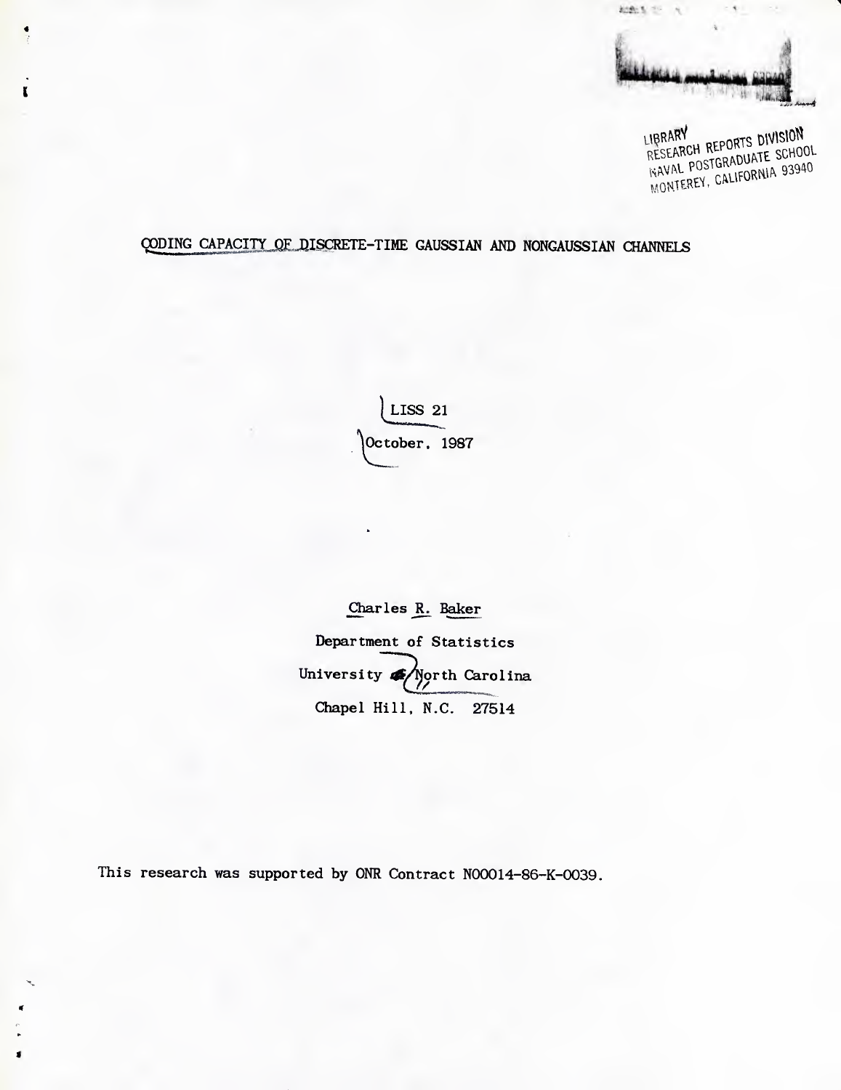

LIBRARY<br>RESEARCH REPORTS DIVISION LIBRARY RESEARCH REPORTS DIVISION<br>RESEARCH REPORTS SCHOOL<br>NAVAL POSTGRADUATE SCHOOL NAVAL POSTGRADUATE SONO

# QODING CAPACITY OF DISCRETE-TIME GAUSSIAN AND NONGAUSSIAN CHANNELS

 $\mathbf{r}$ 

LISS 21 October, 1987

Charles R. Baker Department of Statistics University **4** North Carolina Chapel Hill. N.C. 27514

This research was supported by ONR Contract N00014-86-K-0039.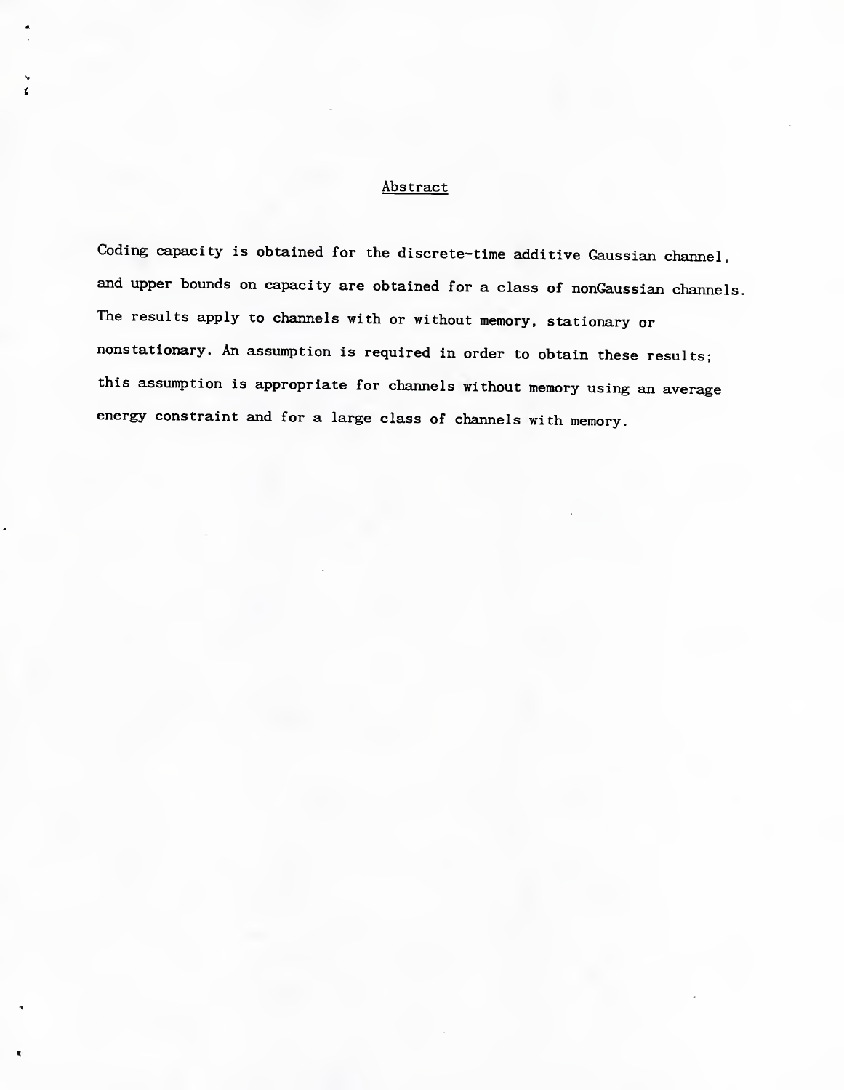## Abstract

 $\epsilon$ 

Coding capacity is obtained for the discrete-time additive Gaussian channel, and upper bounds on capacity are obtained for a class of nonGaussian channels. The results apply to channels with or without memory, stationary or nonstationary. An assumption is required in order to obtain these results; this assumption is appropriate for channels without memory using an average energy constraint and for a large class of channels with memory.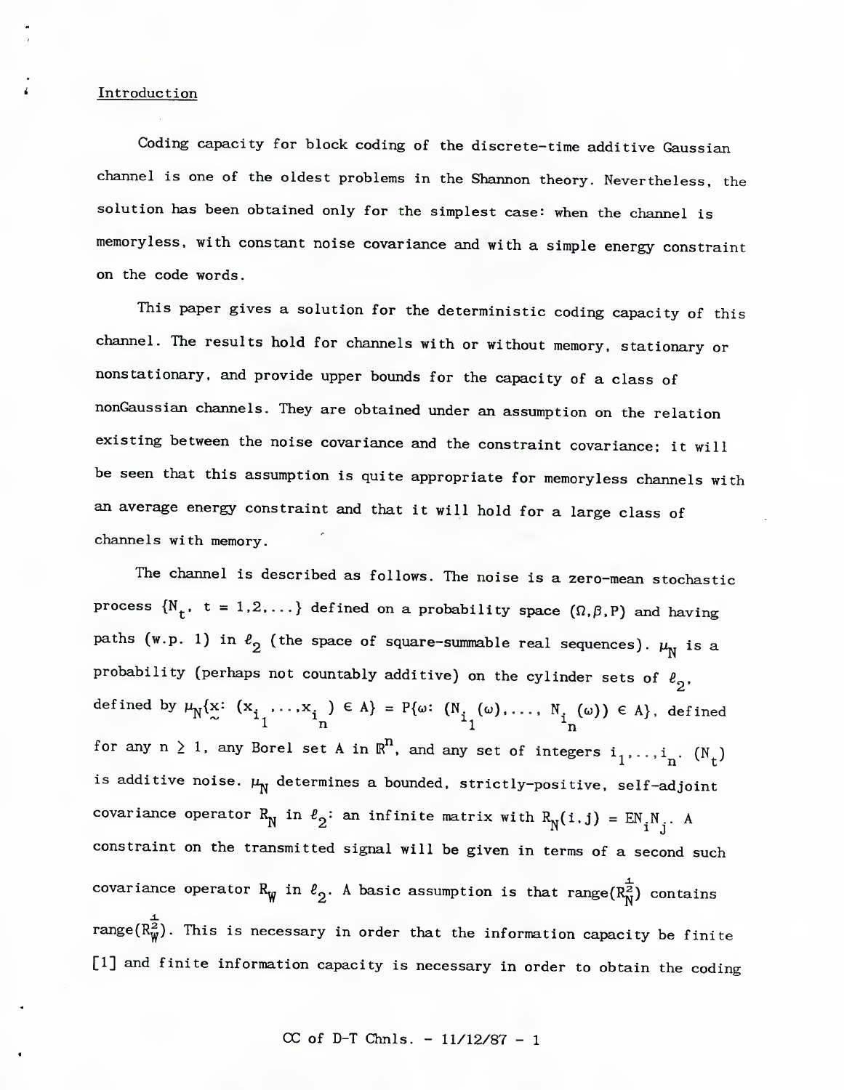#### **Introduction**

Coding capacity for block coding of the discrete-time additive Gaussian channel is one of the oldest problems in the Shannon theory. Nevertheless, the solution has been obtained only for the simplest case: when the channel is memoryless, with constant noise covariance and with a simple energy constraint on the code words.

This paper gives a solution for the deterministic coding capacity of this channel. The results hold for channels with or without memory, stationary or nonstationary, and provide upper bounds for the capacity of a class of nonGaussian channels. They are obtained under an assumption on the relation existing between the noise covariance and the constraint covariance; it will be seen that this assumption is quite appropriate for memoryless channels with an average energy constraint and that it will hold for a large class of channels with memory.

The channel is described as follows. The noise is a zero-mean stochastic process  $\{N_t, t = 1,2,...\}$  defined on a probability space  $(\Omega, \beta, P)$  and having paths (w.p. 1) in  $\ell_2$  (the space of square-summable real sequences).  $\mu_N$  is a probability (perhaps not countably additive) on the cylinder sets of  $\ell_2$ . defined by  $\mu_{\rm N}\{\rm x\colon$  (x, ,..,x, )  $\in$  A} = P{ $\omega\colon$  (N, ( $\omega$ ),..., N, ( $\omega$ ))  $\in$  A}, defined not countably additive) on the cylind<br>  $\ldots, x_{i}$   $\in A$  = P{ $\omega$ :  $(N_{i} (\omega), \ldots, N_{i}$ <br>  $1$ <br>
and set A in  $\mathbb{P}^{n}$  and set at  $S$  i.i. for any  $n \geq 1$ , any Borel set A in  $\mathbb{R}^n$ , and any set of integers i,,,,,i, (N )  $1'$  '  $n'$  t is additive noise.  $\mu_{\overline{N}}^{\phantom{\dag}}$  determines a bounded, strictly-positive, self-adjoint covariance operator R<sub>N</sub> in  $\ell_2$ : an infinite matrix with  $R_N(i,j) = EN_j N_j$ . A constraint on the transmitted signal will be given in terms of a second such covariance operator R<sub>W</sub> in  $\ell_2$ . A basic assumption is that range(R<sub>N</sub><sup>2</sup>) contains range(R $^{\omega}_{\rm w}$ ). This is necessary in order that the information capacity be finite [1] and finite information capacity is necessary in order to obtain the coding *A.* j2^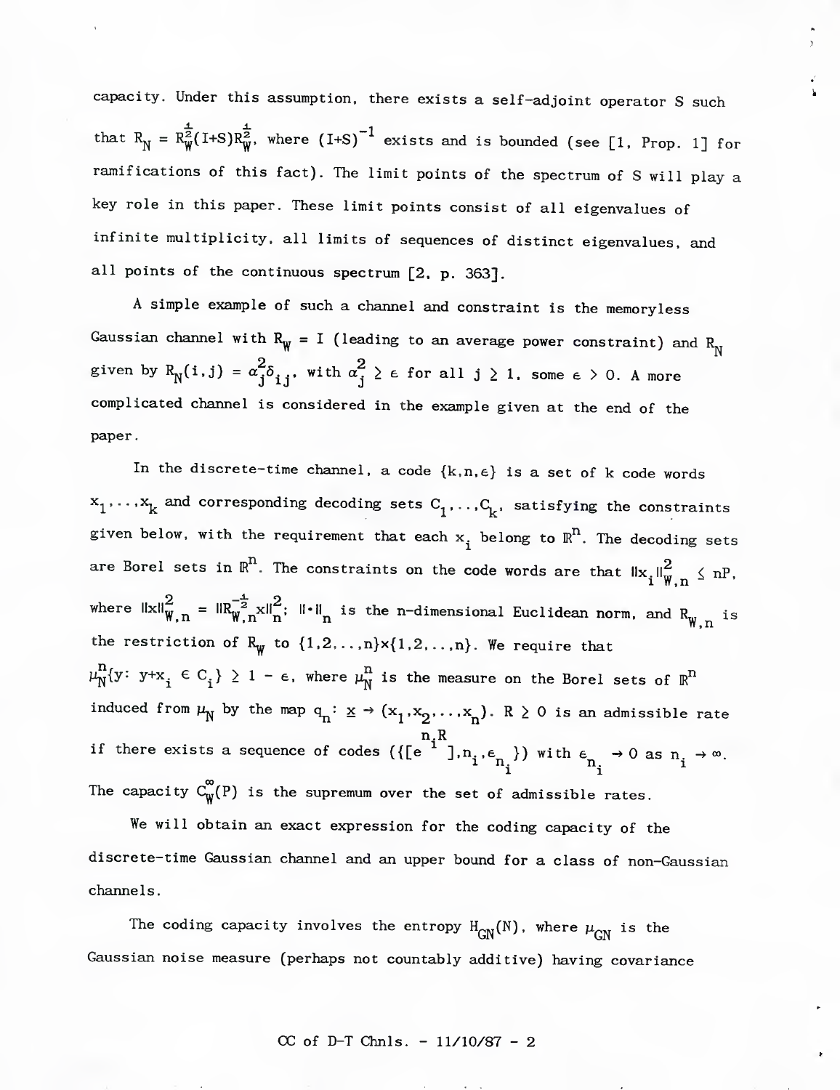capacity. Under this assumption, there exists a self-adjoint operator S such that  $R_{\text{N}} = R_{\text{W}}^{\frac{1}{2}}(I+S)R_{\text{W}}^{\frac{1}{2}}$ , where  $(I+S)^{-1}$  exists and is bounded (see [1. Prop. 1] for ramifications of this fact). The limit points of the spectrum of S will play a key role in this paper. These limit points consist of all eigenvalues of infinite multiplicity, all limits of sequences of distinct eigenvalues, and all points of the continuous spectrum [2, p. 363].

A simple example of such a channel and constraint is the memoryless Gaussian channel with  $R_{\psi} = I$  (leading to an average power constraint) and  $R_{\gamma}$ given by  $R_N^{\{i,j\}} = \alpha_j^2 \delta_{i,j}$ , with  $\alpha_j^2 \ge \epsilon$  for all j  $\ge 1$ , some  $\epsilon > 0$ . A more complicated channel is considered in the example given at the end of the paper.

In the discrete-time channel, a code  $\{k,n,\epsilon\}$  is a set of k code words  $x^1,\ldots,x^k$  and corresponding decoding sets  $C^1,\ldots,C^k$ , satisfying the constraints given below, with the requirement that each  $x_i$  belong to  $\mathbb{R}^n$ . The decoding sets are Borel sets in  $\mathbb{R}^n$ . The constraints on the code words are that  $\mathbb{I}_\infty \mathbb{I}$   $\mathbb{I}_n^G$   $\leqslant$  nP  $i \sqrt{W,n}$  where  $\|x\|_{\mathbf{W}=\mathbf{n}}^2 = \|R_{\mathbf{W}=\mathbf{n}}^{-\frac{1}{2}}x\|_{\mathbf{n}}^2;$   $\| \cdot \|_{\mathbf{n}}$  is the n-dimensional Euclidean norm, and  $R_{\mathbf{n}}$  is the restriction of  $R_{\text{W}}$  to  $\{1,2,\ldots,n\} \times \{1,2,\ldots,n\}$ . We require that  $\mu_{N}^{n}$ {y: y+x<sub>i</sub>  $\in$  C<sub>i</sub>}  $\geq$  1 -  $\epsilon$ , where  $\mu_{N}^{n}$  is the measure on the Borel sets of  $\mathbb{R}^{n}$ induced from  $\mu_N^{\vphantom{X}}$  by the map  $q^{\vphantom{X}}_n: \underline{x} \to (x^{\vphantom{X}}_1, x^{\vphantom{X}}_2, \ldots, x^{\vphantom{X}}_n).$  R  $\geq 0$  is an admissible rate n.R if there exists a sequence of codes ({[e ^ ],n.. $\epsilon$  }) with  $\epsilon$   $\rightarrow$  0 as n.  $\rightarrow$   $\infty$ . i i The capacity  $C^\infty_\mathrm{w}(P)$  is the supremum over the set of admissible rates.

We will obtain an exact expression for the coding capacity of the discrete-time Gaussian channel and an upper bound for a class of non-Gaussian channels.

The coding capacity involves the entropy  $H_{GN}(N)$ , where  $\mu_{GN}$  is the Gaussian noise measure (perhaps not countably additive) having covariance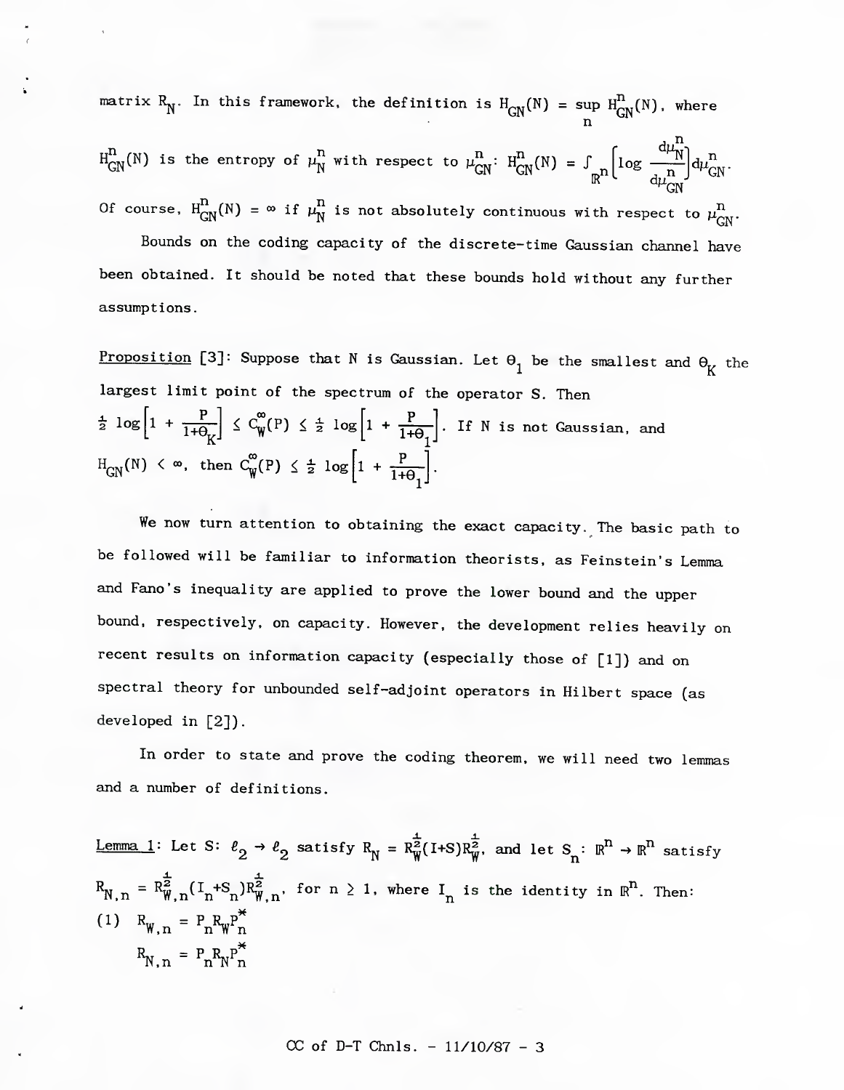matrix  $R_N^{\phantom{N}}$ . In this framework, the definition is  $H_{\rm CW}(N)$  = sup  $H_{\rm env}^{(1)}(N)$ , where n

 $H_{\text{GN}}^{\text{n}}(\text{N})$  is the entropy of  $\mu_{\text{N}}^{\text{n}}$  with respect to  $\mu_{\text{CN}}^{\text{n}}$ :  $H_{\text{CN}}^{\text{n}}(\text{N})$  =  $\int$  $\frac{d\mu_N^n}{d}$ n 'GN n Of course,  $H_{GN}^n(N) = \infty$  if  $\mu_N^n$  is not absolutely continuous with respect to  $\mu_{GN}^n$ . Bounds on the coding capacity of the discrete-time Gaussian channel have been obtained. It should be noted that these bounds hold without any further assumptions.

<u>Proposition</u> [3]: Suppose that N is Gaussian. Let  $\Theta_1$  be the smallest and  $\Theta_{\rm K}$  the largest limit point of the spectrum of the operator S. Then  $\frac{1}{2}$  log  $\left[1 + \frac{1}{1+\theta_K}\right] \leq C_W^{\omega}(P) \leq \frac{1}{2} \log \left[1 + \frac{P}{1+\theta_1}\right]$ . If N is not Gaussian, and  $\text{H}_{CN}(\text{N}) \leq \infty$ , then  $\text{C}_{w}^{\infty}(\text{P}) \leq \frac{1}{2} \log |1 + \frac{\text{P}}{1 + \frac{1}{2}}|$ 1+0 l-"

We now turn attention to obtaining the exact capacity. The basic path to be followed will be familiar to information theorists, as Feinstein's Lemma and Fano's inequality are applied to prove the lower bound and the upper bound, respectively, on capacity. However, the development relies heavily on recent results on information capacity (especially those of [1]) and on spectral theory for unbounded self-adjoint operators in Hilbert space (as developed in [2]).

In order to state and prove the coding theorem, we will need two lemmas and a number of definitions.

Lemma 1: Let S: 
$$
\ell_2 \to \ell_2
$$
 satisfy  $R_N = R_W^{\frac{1}{2}}(I+S)R_W^{\frac{1}{2}}$ , and let  $S_n : \mathbb{R}^n \to \mathbb{R}^n$  satisfy  $R_{N,n} = R_{W,n}^{\frac{1}{2}}(I_n+S_n)R_{W,n}^{\frac{1}{2}}$ , for  $n \ge 1$ , where  $I_n$  is the identity in  $\mathbb{R}^n$ . Then:  
\n(1)  $R_{W,n} = P_n R_W P_n^*$   
\n $R_{N,n} = P_n R_N P_n^*$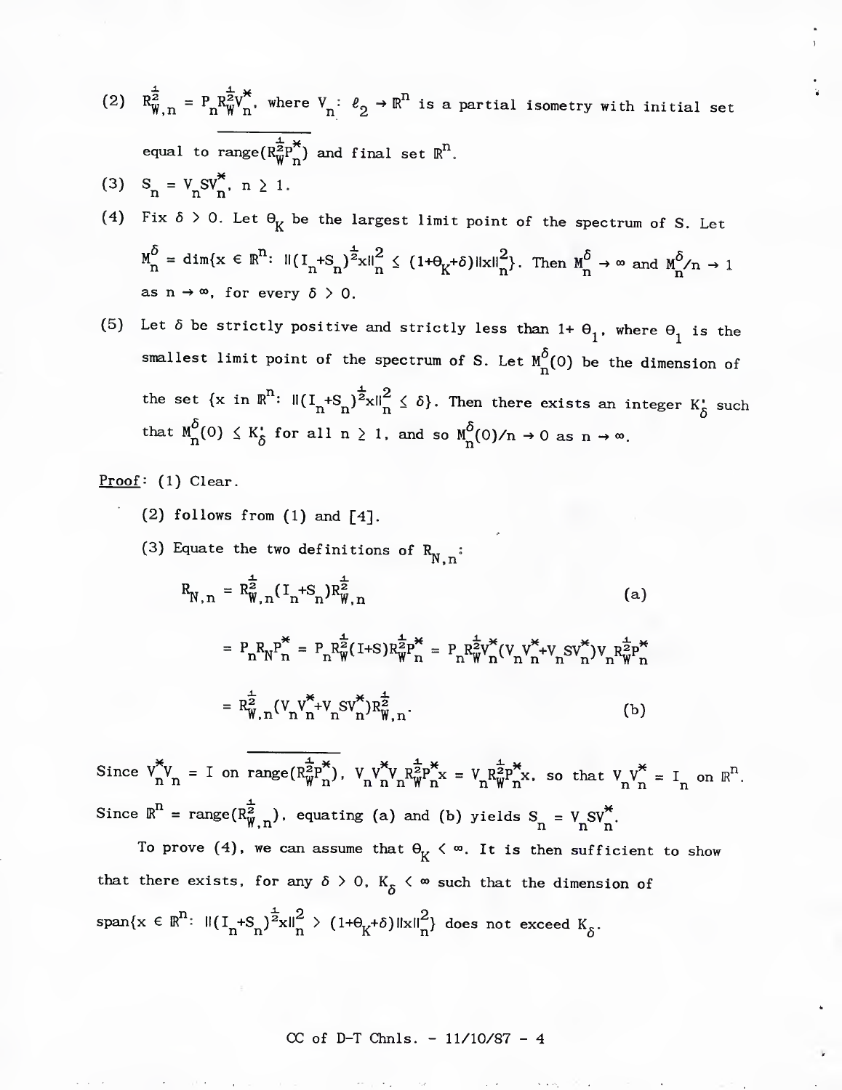- (2)  $R^{\frac{1}{2}}_{W,n} = P_n R^{\frac{1}{2}V^*}_{W,n}$ , where  $V_n: \ell_2 \to \mathbb{R}^n$  is a partial isometry with initial set equal to range $(R^{\frac{1}{2}}_{W}P^{\ast}_{n})$  and final set  $\mathbb{R}^{\Gamma}$
- (3)  $S_n = V_n S V_n^*$ ,  $n \ge 1$ .
- (4) Fix  $\delta > 0$ . Let  $\Theta_K$  be the largest limit point of the spectrum of S. Let  $M^{\delta}_n = \text{dim}\{x \in \mathbb{R}^n: \ \mathbb{I}(\mathbf{I}_n + \mathbf{S}_n)^{\frac{1}{2}}x \mathbb{II}_n^2 \leq (1 + \theta_K + \delta) \|\mathbf{x}\|_n^2\}$ . Then  $M^{\delta}_n \to \infty$  and  $M^{\delta}_n/n \to 1$ as  $n \to \infty$ , for every  $\delta > 0$ .
- (5) Let  $\delta$  be strictly positive and strictly less than 1+  $\theta_1$ , where  $\theta_1$  is the smallest limit point of the spectrum of S. Let  $M^{\delta}_{n}(0)$  be the dimension of the set  $\{x \text{ in } \mathbb{R}^n\colon \left. \|(I_n + S_n)^{\frac{1}{2}}x\|_n^2 \leq \delta\}$ . Then there exists an integer  $K^{\bullet}_{\delta}$  such that  $M_{n}^{\delta}(0) \leq K_{\delta}^{c}$  for all  $n \geq 1$ , and so  $M_{n}^{\delta}(0)/n \to 0$  as  $n \to \infty$ .

Proof: (1) Clear.

- (2) follows from (1) and  $[4]$ .
- (3) Equate the two definitions of  $R_{N,n}$ :

$$
R_{N,n} = R_{W,n}^{\frac{1}{2}} (I_n + S_n) R_{W,n}^{\frac{1}{2}}
$$
 (a)

$$
= P_{n}R_{N}^{p}P_{n}^{*} = P_{n}R_{W}^{\frac{1}{2}}(1+S)R_{W}^{\frac{1}{2}p} = P_{n}R_{W}^{\frac{1}{2}}V_{n}^{*}(V_{n}V_{n}^{*}+V_{n}SV_{n}^{*})V_{n}R_{W}^{\frac{1}{2}p}^{*}
$$

$$
= R_{W,n}^{\frac{1}{2}}(V_{n}V_{n}^{*}+V_{n}SV_{n}^{*})R_{W,n}^{\frac{1}{2}}.
$$
(b)

Since  $V_{n}^{*}V_{n} = I$  on range $(R_{W}^{\frac{1}{2}p^{*}})$ .  $V_{n}V_{n}^{*}V_{n}R_{w}^{\frac{1}{2}p^{*}}$   $= V_{n}R_{W}^{\frac{1}{2}p^{*}}$ . so that  $V_{n}V_{n}^{*} = I_{n}$  on  $\mathbb{R}^{n}$ . Since  $\mathbb{R}^n$  = range( $\mathbb{R}^{\frac{1}{2}}_{W,n}$ ), equating (a) and (b) yields  $S_n = V_n S V_n^*$ .

To prove (4), we can assume that  $\Theta_K < \infty$ . It is then sufficient to show that there exists, for any  $\delta > 0$ ,  $K_{\delta} < \infty$  such that the dimension of  $\text{span}\{x \in \mathbb{R}^n: \ \left\|(I_n + S_n)^{\frac{1}{2}}x\right\|_n^2 > (1 + \theta_K + \delta) \left\|x\right\|_n^2\}$  does not exceed  $K_{\delta}$ .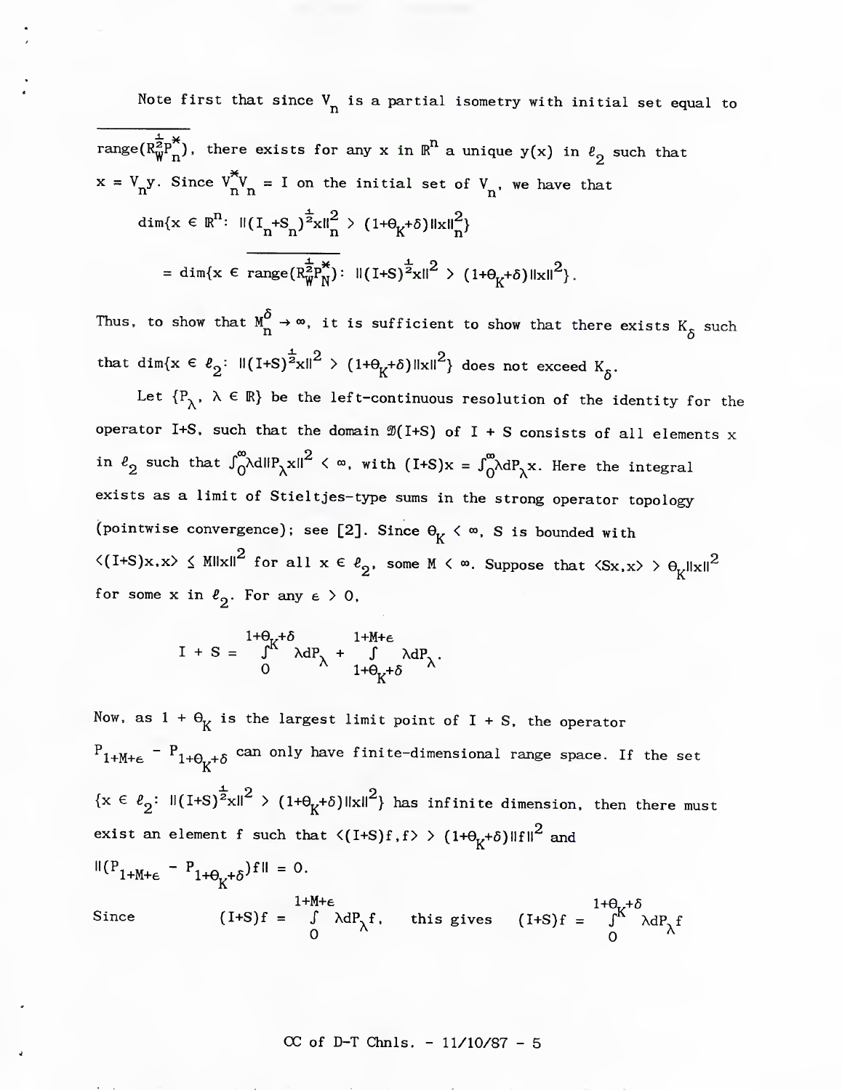Note first that since  $V_n$  is a partial isometry with initial set equal to range( $R_{\text{W}}^{\frac{1}{2}p^*}$ ), there exists for any x in  $\text{R}^n$  a unique y(x) in  $\ell_2$  such that  $X = V_1 y$ . Since  $V_1 V_1 = I$  on the initial set of  $V_1$ , we have that dim{x  $\in \mathbb{R}^n$ :  $||(I_n + S_n)^2 x||_n^2 > (1 + \theta_{K} + \delta) ||x||_n^2$ = dim{x  $\epsilon$  range( $R_{w}^{\frac{1}{2}p_{N}^{*}}$ ):  $||(1+S)^{\frac{1}{2}}x||^{2}$  > (1+ $\theta_{K}$ + $\delta$ )  $||x||^{2}$ .

Thus, to show that  $M_{\Omega}^{\delta} \to \infty$ , it is sufficient to show that there exists  $K_{\delta}$  such that dim{x  $\in$   $\ell_2$ :  $\|(I+S)^{\frac{1}{2}}x\|^2$  >  $(1+\theta_K+\delta) \|x\|^2$ } does not exceed  $K_{\delta}$ .

Let  ${P_\lambda, \lambda \in \mathbb{R}}$  be the left-continuous resolution of the identity for the operator I+S, such that the domain  $\mathfrak{D}(I+S)$  of I + S consists of all elements x in  $\ell_2$  such that  $\int_0^\infty \lambda \mathrm{d}\|\mathrm{P}_\lambda\mathrm{x}\|^2$   $\langle \infty, \text{ with } (\mathrm{I}+\mathrm{S})\mathrm{x} = \int_0^\infty \lambda \mathrm{d}\mathrm{P}_\lambda\mathrm{x}$ . Here the integral exists as a limit of Stieltjes-type sums in the strong operator topology (pointwise convergence); see [2]. Since  $\theta_K < \infty$ , S is bounded with  $\langle$ (I+S)x,x>  $\leq$  MHxH $^2$  for all  $\mathrm{x} \in \ell_\mathrm{2}^-.$  some M  $\langle \infty.$  Suppose that  $\langle \mathrm{Sx}, \mathrm{x} \rangle > \Theta_\mathrm{z}$ HxH $^2$ for some x in  $\ell_2$ . For any  $\epsilon > 0$ ,

$$
I + S = \int_{0}^{1+\theta_{K}+\delta} \lambda dP_{\lambda} + \int_{1+\theta_{K}+\delta} \lambda dP_{\lambda}.
$$

Now, as  $1 + \Theta_K$  is the largest limit point of I + S, the operator  $\frac{P_{1+M+\epsilon}}{P_{1+D_{K}+\delta}}$  can only have finite-dimensional range space. If the set  ${x \in \ell_2: \|(I+S)^{\frac{1}{2}}x\|^2 > (1+\theta_K+\delta)\|x\|^2}$  has infinite dimension, then there must exist an element  $f$  such that  $\langle (I+S)f,f\rangle > (1+ \theta_{K}+ \delta) \|f\|^2$  and  $\|(\mathbf{P}_{1+\mathsf{M}+\epsilon} - \mathbf{P}_{1+\Theta_{\mathsf{K}}+\delta})\mathbf{f}\| = 0.$  $1+\theta_r$ + $\delta$ Since  $(I+S)f = \int \lambda dP_x f$ , this gives  $(I+S)f = \int_0^R \lambda dP_x f$ 0  $\lambda$  0  $\lambda$ 

 $CC of D-T Chnls. -  $11/10/87 - 5$$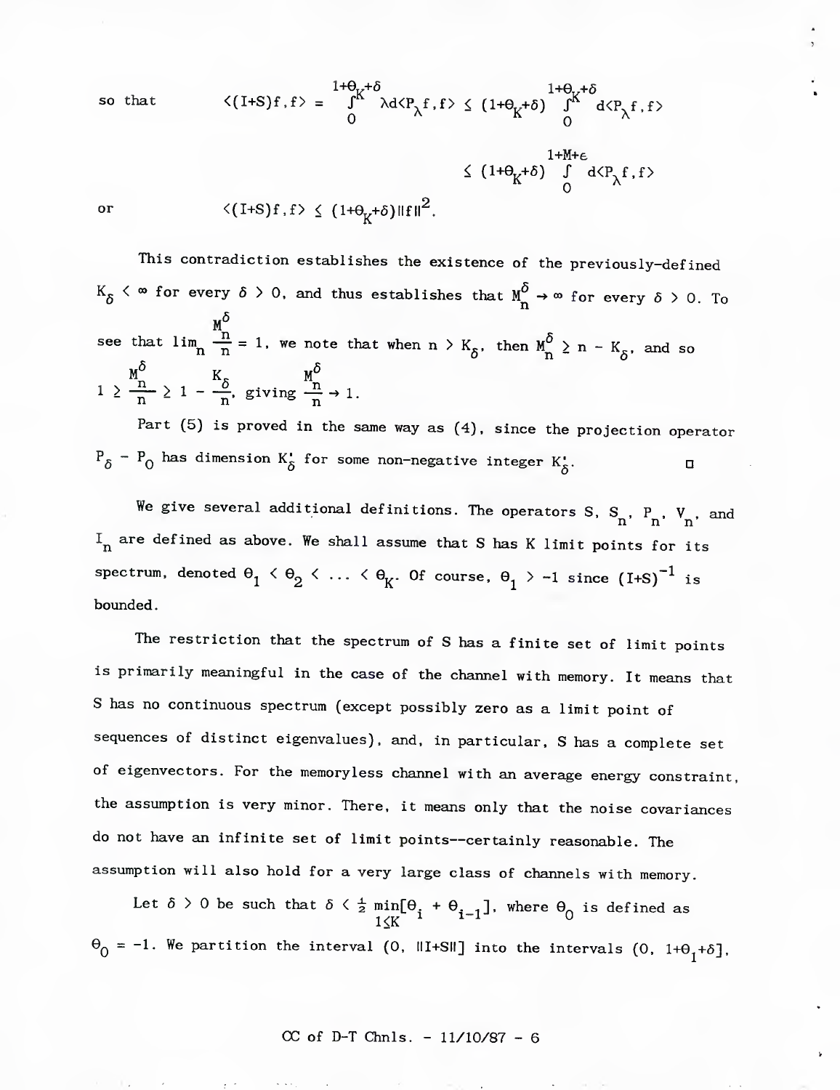so that  
\n
$$
\langle (I+S)f, f \rangle = \int_{0}^{1+\theta_{K}+\delta} \lambda d\langle P_{\lambda}f, f \rangle \leq (1+\theta_{K}+\delta) \int_{0}^{1+\theta_{K}+\delta} d\langle P_{\lambda}f, f \rangle
$$
\n
$$
\leq (1+\theta_{K}+\delta) \int_{0}^{1+M+\epsilon} d\langle P_{\lambda}f, f \rangle
$$
\nor\n
$$
\langle (I+S)f, f \rangle \leq (1+\theta_{K}+\delta) \|\mathbf{f}\|^{2}.
$$

*y*

This contradiction establishes the existence of the previously-defined  $K_{\delta}$   $\langle \infty$  for every  $\delta > 0$ , and thus establishes that  $M_{n}^{\delta} \rightarrow \infty$  for every  $\delta > 0$ . To see that  $\lim_{n \to \infty} \frac{M^{\circ}}{n} = 1$ , we note that when  $n > K_{\delta}$ , then  $M^{\delta}_{n} \ge n - K_{\delta}$ , and so  $1 \geq \frac{M^{\circ}}{n} \geq 1 - \frac{K_{\delta}}{n}$ , giving  $\frac{M^{\circ}}{n} \to 1$ .

Part (5) is proved in the same way as (4), since the projection operator  $P_{\delta}$  -  $P_{0}$  has dimension K<sup>1</sup> for some non-negative integer K<sub> $\delta$ </sub>.

we give several additional definitions. The operators S,  $S_n$ ,  $P_n$ ,  $V_n$ , and  $I_n$  are defined as above. We shall assume that S has K limit points for its spectrum, denoted  $\theta_1 \leq \theta_2 \leq \ldots \leq \theta_K$ . Of course,  $\theta_1 \geq -1$  since (I+S)<sup>-1</sup> is bounded.

The restriction that the spectrum of S has a finite set of limit points is primarily meaningful in the case of the channel with memory. It means that S has no continuous spectrum (except possibly zero as a limit point of sequences of distinct eigenvalues), and. in particular. S has a complete set of eigenvectors. For the memoryless channel with an average energy constraint, the assumption is very minor. There, it means only that the noise covariances do not have an infinite set of limit points—certainly reasonable. The assumption will also hold for a very large class of channels with memory.

Let  $\delta > 0$  be such that  $\delta \leq \frac{1}{2}$  min[ $\Theta$ , +  $\Theta$ ,  $\Box$ ], where  $\Theta$  is defined as  $1\leq$ K  $\sim$   $\sim$  U  $\theta_0 = -1$ . We partition the interval (0, III+SII] into the intervals (0, 1+ $\theta_1$ + $\delta$ ],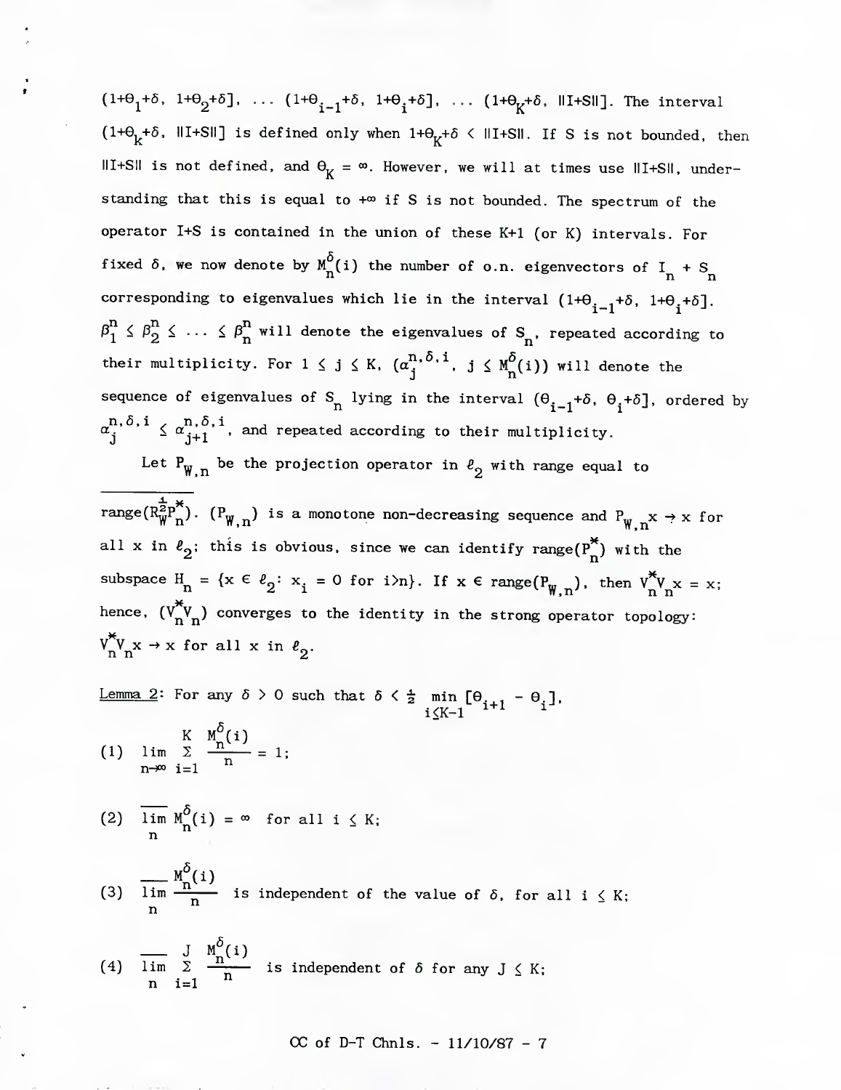$(1+\theta_1+\delta, 1+\theta_2+\delta], \ldots$   $(1+\theta_{i-1}+\delta, 1+\theta_i+\delta], \ldots$   $(1+\theta_K+\delta, \text{III-SII}]$ . The interval  $(1+\theta_k+\delta, \Vert I+SI\Vert)$  is defined only when  $1+\theta_k+\delta \langle \Vert I+SI\Vert$ . If S is not bounded, then III+SII is not defined, and  $\theta_K = \infty$ . However, we will at times use III+SII, understanding that this is equal to  $+\infty$  if S is not bounded. The spectrum of the operator I+S is contained in the union of these K+1 (or K) intervals. For fixed  $\delta$ , we now denote by  $\frac{M}{n}(i)$  the number of  $o.n.$  eigenvectors of  $I_n + S_n$ corresponding to eigenvalues which lie in the interval  $(1+\theta_{\textbf{i}-1}^{\textbf{+}}\delta,\ 1+\theta_{\textbf{i}}^{\textbf{+}}\delta]$  $\beta_1^n \leq \beta_2^n \leq \ldots \leq \beta_n^n$  will denote the eigenvalues of  $S_n$ , repeated according to their multiplicity. For  $1 \leq j \leq K$ ,  $(\alpha_j^{n, \delta, i}, j \leq M^{\delta}_{n}(i))$  will denote the sequence of eigenvalues of S<sub>n</sub> lying in the interval  $(\theta_{\bf i-l}^{\phantom{\dagger}}+\delta,\;\theta_{\bf i}^{\phantom{\dagger}}+\delta]$ , ordered by  $\alpha^{n,\,\delta,\,\mathbf{i}}_{\mathbf{i}} ~\leq~ \alpha^{n,\,\delta,\,\mathbf{i}}_{\mathbf{i+1}}$  , and repeated according to their multiplicity.

Let  $P_{\text{W},n}$  be the projection operator in  $\ell_2$  with range equal to

range( $R^{\bf \bar{Z}}_{\bf W}$  ). (P<sub>W n</sub>) is a monotone non-decreasing sequence and P<sub>w</sub>  $\bf x \rightarrow \bf x$  for all x in  $\ell_2^{}$ ; this is obvious, since we can identify range $(\Pr^{\pi}_{\mathbb{P}})$  with the subspace  $H_n = \{x \in \ell_2 : x_i = 0 \text{ for } i > n\}$ . If  $x \in \text{range}(P_{W,n})$ , then  $V_n^{\pi}V_n x = x;$ hence.  $(V^*_{n}V_{n})$  converges to the identity in the strong operator topology:  $V^{\ast}_{n}V_{n}x \rightarrow x$  for all x in  $\ell_{2}$ .

Lemma 2: For any  $\delta > 0$  such that  $\delta < \frac{1}{2}$  min  $[\theta_{i+1} - \theta_i]$ ,  $i \leq K-1$  iii ii

(1) 
$$
\lim_{n \to \infty} \sum_{i=1}^{K} \frac{M^{0}(i)}{n} = 1;
$$

(2) 
$$
\lim_{n} M_{n}^{\delta}(i) = \infty
$$
 for all  $i \leq K$ ;

(3) 
$$
\lim_{n \to \infty} \frac{M_n^0(i)}{n}
$$
 is independent of the value of  $\delta$ , for all  $i \leq K$ ;

(4) 
$$
\overline{\lim}_{n} \sum_{i=1}^{J} \frac{M_{n}^{0}(i)}{n}
$$
 is independent of  $\delta$  for any  $J \leq K$ ;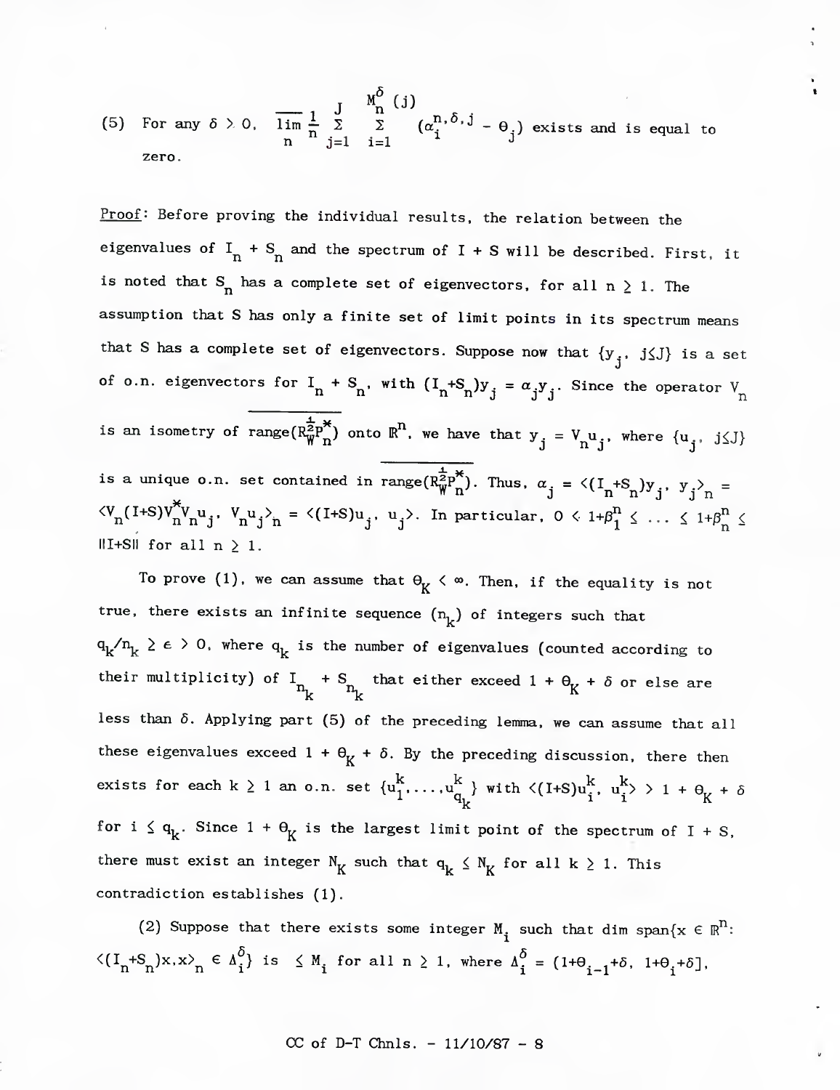(5) For any 
$$
\delta > 0
$$
,  $\overline{\lim}_{n} \frac{1}{n} \sum_{j=1}^{J} \sum_{i=1}^{M_0^{\delta}} (\alpha_i^{n, \delta, j} - \theta_j)$  exists and is equal to zero.

Proof: Before proving the individual results, the relation between the eigenvalues of  $I_n + S_n$  and the spectrum of I + S will be described. First, it is noted that  $S_n$  has a complete set of eigenvectors, for all  $n \ge 1$ . The assumption that S has only a finite set of limit points in its spectrum means that S has a complete set of eigenvectors. Suppose now that  $\{y_-, \ j \leq J\}$  is a set J of o.n. eigenvectors for  $I_n + S_n$ , with  $(I_n + S_n)y_j = \alpha_j y_j$ . Since the operator  $V_n$ is an isometry of range $(R_{\overline{W}}^{\frac{1}{2}p^*})$  onto  $\overline{R}^n$ , we have that  $y_j = V_n u_j$ , where  $\{u_j, j \leq J\}$ is a unique o.n. set contained in range( $R^{\frac{1}{2}p^*}_{W^n}$ ). Thus.  $\alpha_{.j} = \langle (I_n + S_n)y_{j}, y_{.j} \rangle_n =$  $\langle V^{(1+S)} \rangle_{n}^{*} V^{(U)}_{n}$   $V^{(U)}_{n}$   $\rangle_{n} = \langle (1+S)u^{(U)}_{j}, u^{(U)}_{j} \rangle$ . In particular,  $0 \langle 1+\beta_{1}^{N} \rangle_{n}$  ...  $\langle 1+\beta_{n}^{N} \rangle_{n}$  $\parallel$ I+S $\parallel$  for all  $n \geq 1$ .

To prove (1), we can assume that  $\Theta_K < \infty$ . Then, if the equality is not true, there exists an infinite sequence  $(n_k)$  of integers such that  $q_k'^n_k \geq \epsilon > 0$ , where  $q_k$  is the number of eigenvalues (counted according to their multiplicity) of  $I_{n_{L}}$  +  $S_{n_{L}}$  that either exceed 1 +  $\theta_{K}$  +  $\delta$  or else are less than  $\delta$ . Applying part (5) of the preceding lemma, we can assume that all these eigenvalues exceed  $1 + \theta_K + \delta$ . By the preceding discussion, there then exists for each k  $\geq$  1 an o.n. set  $\{u^{K}_{1}, \ldots, u^{K}_{q_{k}}\}$  with  $\langle (I+ S)u^{K}_{i}, \ u^{K}_{i} \rangle > 1 + \theta_{K} + \delta$ for i  $\leq q_k$ . Since  $1 + \Theta_k$  is the largest limit point of the spectrum of I + S, there must exist an integer  $N_K$  such that  $q_k \nleq N_K$  for all  $k \geq 1$ . This contradiction establishes (1).

(2) Suppose that there exists some integer  $M_i$  such that dim span $\{x \in \mathbb{R}^N:$  $\langle (I_n + S_n)x, x \rangle_n \in \Lambda_i^0$  is  $\leq M_i$  for all  $n \geq 1$ , where  $\Lambda_i^0 = (1 + \Theta_{i-1} + \delta, 1 + \Theta_i + \delta)$ , (2) suppose that there exists some integer  $M_i$  such that dim span<sub>{</sub><br>  $n + S_n$ }x,x><sub>n</sub>  $\in \Delta_i^{\delta}$ } is  $\leq M_i$  for all  $n \geq 1$ , where  $\Delta_i^{\delta} = (1 + \theta_{i-1} + \delta, 1 + \theta_i)$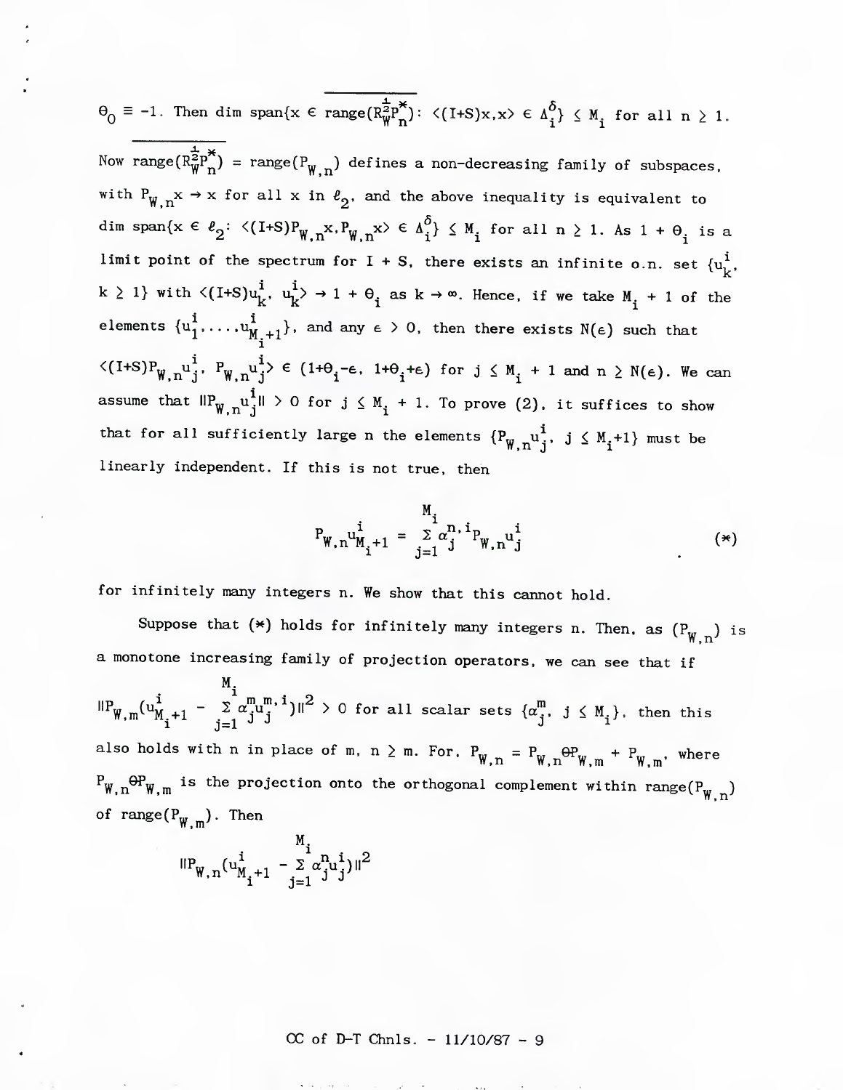$$
\Theta_0 \equiv -1. \text{ Then } \dim \text{ span}\{x \in \text{range}(R_W^{\frac{1}{2}p^*}) : \langle (I+S)x, x \rangle \in \Delta_i^{\delta} \} \leq M_i \text{ for all } n \geq 1.
$$

Now range $(\overline{R}_{W}^{\frac{1}{2}p^*})$  = range $(P_{W,n})$  defines a non-decreasing family of subspaces. with  $P_{W,n} x \rightarrow x$  for all x in  $\ell_2$ , and the above inequality is equivalent to dim span{x  $\in \ell_2^{\, :} \leq (I+S)P^{\,}_{\mathbb{W},\,n}x, P^{\,}_{\mathbb{W},\,n}x \rangle \in \Delta_i^{\delta} \} \leq M^{\,}_{\, \, \mathbf{i}}$  for all  $n \geq 1$ . As  $1 + \Theta^{\,}_{\, \, \mathbf{i}}$  is a limit point of the spectrum for I + S, there exists an infinite o.n. set  $\{ {\bf u}^1_{\bf k},$ k  $\geq$  1} with  $\langle$ [I+S] $u_k^i$ ,  $u_k^i$  $>$   $\rightarrow$  1 +  $\theta_i$  as k  $\rightarrow \infty$ . Hence, if we take  $M_i$  + 1 of the elements  $\{u^1_1, \ldots, u^1_{M^-+1}\}$ , and any  $\epsilon$   $>$  0, then there exists N( $\epsilon$ ) such that i  $\langle (I+S)P_{W,n}u_i^i, P_{W,n}u_i^i \rangle \in (1+\Theta_i-\epsilon, 1+\Theta_i+\epsilon)$  for  $j \leq M_i + 1$  and  $n \geq N(\epsilon)$ . We can assume that  $\mathsf{HP}^\mathbf{u}_\mathsf{W,n}^\mathbf{1}$  $\mathsf{H}^\mathbf{1} > 0$  for  $\mathsf{j} \leq \mathsf{M}^\mathbf{1}_\mathsf{i} + 1$ . To prove (2), it suffices to show that for all sufficiently large n the elements  $\{P_{W,n}^{\phantom{M} u}\}^{\phantom{M} u}, \phantom{M} j\leq M_{\phantom{M} i} +1 \}$  must be linearly independent. If this is not true, then

$$
P_{W,n}u_{M_{i}+1}^{i} = \sum_{j=1}^{M_{i}} \alpha_{j}^{n,i} P_{W,n}u_{j}^{i}
$$
 (\*)

for infinitely many integers n. We show that this cannot hold.

Suppose that  $(\ast)$  holds for infinitely many integers n. Then, as  $({\tt P_{W,n}}^{\vphantom{\dagger}})$  is a monotone increasing family of projection operators, we can see that if

M.  $\mathbf{i}$  m m  $\mathbf{i}$  m m  $\mathbf{i}$  or  $\mathbf{r}$  $\int_{\mathbb{R}}^{\mathbb{R}} W_{\mathbf{M}} \left( u_{\mathbf{M}}^{\mathbf{I}} + 1 \right) = \sum_{j=1}^{\mathbb{Z}} a_{\mathbf{J}}^{\mathbf{I}} u_{\mathbf{J}}^{\mathbf{I}}$  )  $\parallel^2$  > 0 for all scalar sets  $\{ a_{\mathbf{J}}^{\mathbf{I}} , \mathbf{J} \leq M_{\mathbf{I}} \}$ , then this also holds with n in place of m, n  $\geq$  m. For,  ${\rm P_{W,n}\,=\,P_{W,n}\,\Theta P_{W,m}\,+\,P_{W,\,m}}$ , where  $^{P}$ W,n $^{\Theta \! P}$ W,m  $^{\rm I}$  is the projection onto the orthogonal complement within range(P $^{\rm W}$ ,n) of range( $P_{W, m}$ ). Then

$$
\|P_{W,n}(\mathbf{u}_{M_{i}+1}^{i} - \sum_{j=1}^{m_{i}} \alpha_{j}^{n} \mathbf{u}_{j}^{i})\|^{2}
$$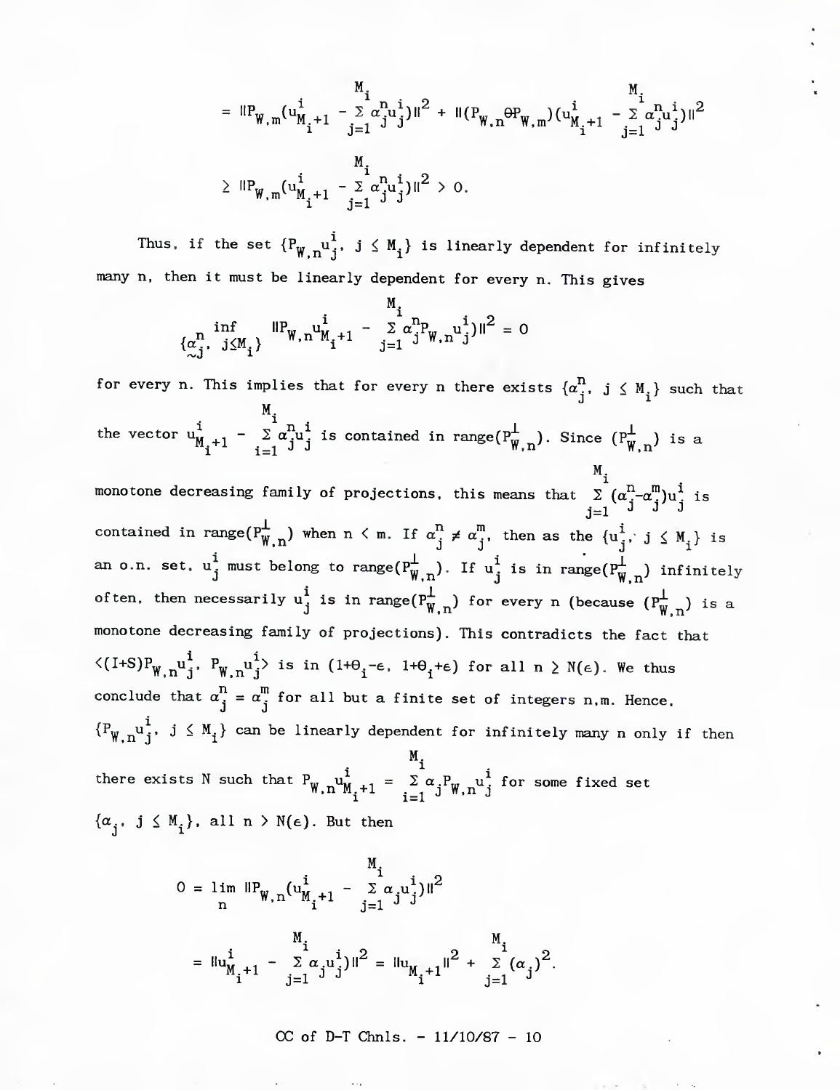$$
= \mathsf{IIP}_{\mathbf{W},\mathbf{m}}(\mathbf{u}_{M_{i}+1}^{i} - \sum_{j=1}^{M_{i}} \alpha_{j}^{n_{i}} \mathbf{u}_{j}^{i})\mathsf{II}^{2} + \mathsf{II}(P_{\mathbf{W},\mathbf{n}}\Theta P_{\mathbf{W},\mathbf{m}})(\mathbf{u}_{M_{i}+1}^{i} - \sum_{j=1}^{M_{i}} \alpha_{j}^{n_{i}} \mathbf{u}_{j}^{i})\mathsf{II}^{2}
$$
  
\n
$$
\geq \mathsf{IIP}_{\mathbf{W},\mathbf{m}}(\mathbf{u}_{M_{i}+1}^{i} - \sum_{i=1}^{M_{i}} \alpha_{j}^{n_{i}} \mathbf{u}_{j}^{i})\mathsf{II}^{2} > 0.
$$

Thus, if the set  ${P^w_{w,n}}^i_j$ ,  $j \leq M^i_j$  is linearly dependent for infinitely many n, then it must be linearly dependent for every n. This gives

$$
\{\alpha_j^n, \ j \le M_i\} \quad \|\mathbf{P}_{\mathbf{W}, n} \mathbf{u}_{\mathbf{M}_1 + 1}^i - \frac{\sum_{j=1}^{M_i} \alpha_j^n \mathbf{P}_{\mathbf{W}, n} \mathbf{u}_j^i\} \|^2 = 0
$$

for every n. This implies that for every n there exists  $\{\alpha_j^{\bf n},\ j\leq\mathtt{M}_i\}$  such that the vector  $u^i_{M_i+1} - \sum_{i=1}^{M_i} a^{n_i}$  is contained in range $(P^{\perp}_{W,n})$ . Since  $(P^{\perp}_{W,n})$  is a

monotone decreasing family of projections, this means that  $\begin{array}{c} M_1\ \Sigma\ (\alpha^{\mathrm{n}}_z\text{-}\alpha^{\mathrm{m}}_z)\text{u}^{\mathrm{i}}_z$  is  $j=1$  J J contained in range( $P^{\perp}_{W,n}$ ) when  $n < m$ . If  $\alpha^{n}_{j} \neq \alpha^{m}_{j}$ , then as the  $\{u^{i}_{j}$ , j  $\leq M^{i}_{j}\}$  is an o.n. set.  $u_j^i$  must belong to range( $P^{\perp}_{W,n}$ ). If  $u_j^i$  is in range( $P^{\perp}_{W,n}$ ) infinitely often, then necessarily  $u_j^1$  is in range $(P_{W,n}^{\perp})$  for every n (because  $(P_{W,n}^{\perp})$  is a monotone decreasing family of projections). This contradicts the fact that  $\langle (I+S)P^{\vphantom{\dagger}}_{W,n}u^{\vphantom{\dagger}}_{j}, P^{\vphantom{\dagger}}_{W,n}u^{\vphantom{\dagger}}_{j}\rangle$  is in  $(1+\theta_{i}-\varepsilon, 1+\theta_{i}+\varepsilon)$  for all  $n\geq N(\varepsilon)$ . We thus conclude that  $\alpha_j^n = \alpha_j^m$  for all but a finite set of integers n,m. Hence,  $\{P_{\psi,n}u^i_j, j \leq M_i\}$  can be linearly dependent for infinitely many n only if then there exists N such that  $P_{W,n}u^1_{M,+1} = \sum_{i=1}^{\infty} \alpha_i P_{W,n} u^1_{j}$  for some fixed set  $\{\alpha_j, j \leq M_i\}$ , all  $n > N(\epsilon)$ . But then

$$
0 = \lim_{n} \text{IP}_{W,n}(\mathbf{u}_{M_{i}+1}^{i} - \sum_{j=1}^{M_{i}} \alpha_{j} \mathbf{u}_{j}^{i})\|^{2}
$$
  
=  $\text{I} \mathbf{u}_{M_{i}+1}^{i} - \sum_{j=1}^{M_{i}} \alpha_{j} \mathbf{u}_{j}^{i})\|^{2} = \text{I} \mathbf{u}_{M_{i}+1}\|^{2} + \sum_{j=1}^{M_{i}} (\alpha_{j})^{2}.$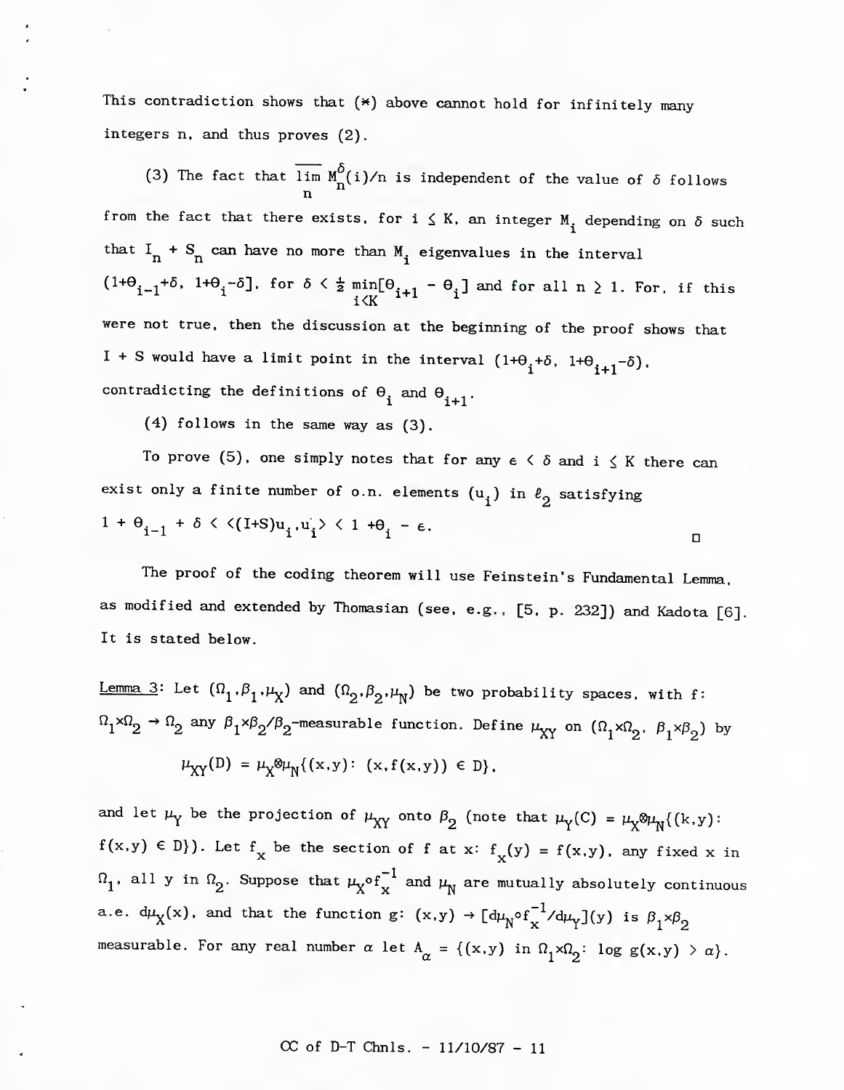This contradiction shows that  $(*)$  above cannot hold for infinitely many integers n, and thus proves (2).

(3) The fact that lim  $M^{\sigma}_{\mu}(i)/n$  is independent of the value of  $\delta$  follows n from the fact that there exists, for  $i \leq K$ , an integer  $M_i$  depending on  $\delta$  such that  $I_n + S_n$  can have no more than  $M_i$  eigenvalues in the interval (1+ $\theta_{i-1}$ +b, 1+ $\theta_i$ -5], for  $\delta$  <  $\frac{1}{2}$  min[ $\theta_{i+1}$  -  $\theta_i$ ] and for all n  $\geq$  1. For, if this  $i\le K$ <sup>-1+1</sup> <sup>1</sup> were not true, then the discussion at the beginning of the proof shows that  $1+$  S would have a limit point in the interval  $(1+\theta_{\bf i}+\delta, \,\, 1+\theta_{\bf i+1}-\delta)$ , contradicting the definitions of  $\theta_{\mathbf{i}}$  and  $\theta_{\mathbf{i+1}}.$ 

(4) follows in the same way as (3).

To prove (5), one simply notes that for any  $\epsilon \leq \delta$  and  $i \leq K$  there can exist only a finite number of o.n. elements  $(u_i)$  in  $\ell_2$  satisfying  $1 + \theta_{i-1} + \delta \lt \langle (I + S)u_i, u_i \rangle \lt 1 + \theta_i - \epsilon.$ 

The proof of the coding theorem will use Feinstein's Fundamental Lemma, as modified and extended by Thomasian (see, e.g.. [5. p. 232]) and Kadota [6]. It is stated below.

<u>Lemma</u>  $3$ : Let  $(\Omega_1^-, \beta_1^-, \mu_X^+)$  and  $(\Omega_2^-, \beta_2^-, \mu_Y^+)$  be two probability spaces, with f:  $n_1\times n_2 \rightarrow n_2$  any  $\beta_1\times\beta_2/\beta_2$ -measurable function. Define  $\mu_{XY}$  on  $(\Omega_1\times\Omega_2, \beta_1\times\beta_2)$  by  $\mu_{XY}(D) = \mu_X \otimes \mu_N \{ (x,y) : (x,f(x,y)) \in D \},$ 

and let  $\mu_Y$  be the projection of  $\mu_{XY}$  onto  $\beta_2$  (note that  $\mu_Y(C) = \mu_X\otimes\mu_Y^{\{k,y\}}$ :  $f(x,y) \in D$ ). Let  $f^{\mathbf{r}}(x)$  be the section of f at x:  $f^{\mathbf{r}}(y) = f(x,y)$ , any fixed x in  $\Omega_1$ , all y in  $\Omega_2$ . Suppose that  $\mu_X^{\circ}$  of  $^{-1}_X$  and  $\mu_N^{\circ}$  are mutually absolutely continuous a.e.  $d\mu_{X}(x)$ , and that the function g:  $(x,y) \rightarrow [d\mu_{N}^{\circ}f_{X}^{-1}/d\mu_{Y}](y)$  is  $\beta_{1} \times \beta_{2}$ measurable. For any real number  $\alpha$  let  $A_{\alpha} = \{(x,y) \text{ in } \Omega_1 \times \Omega_2 : \log g(x,y) > \alpha \}.$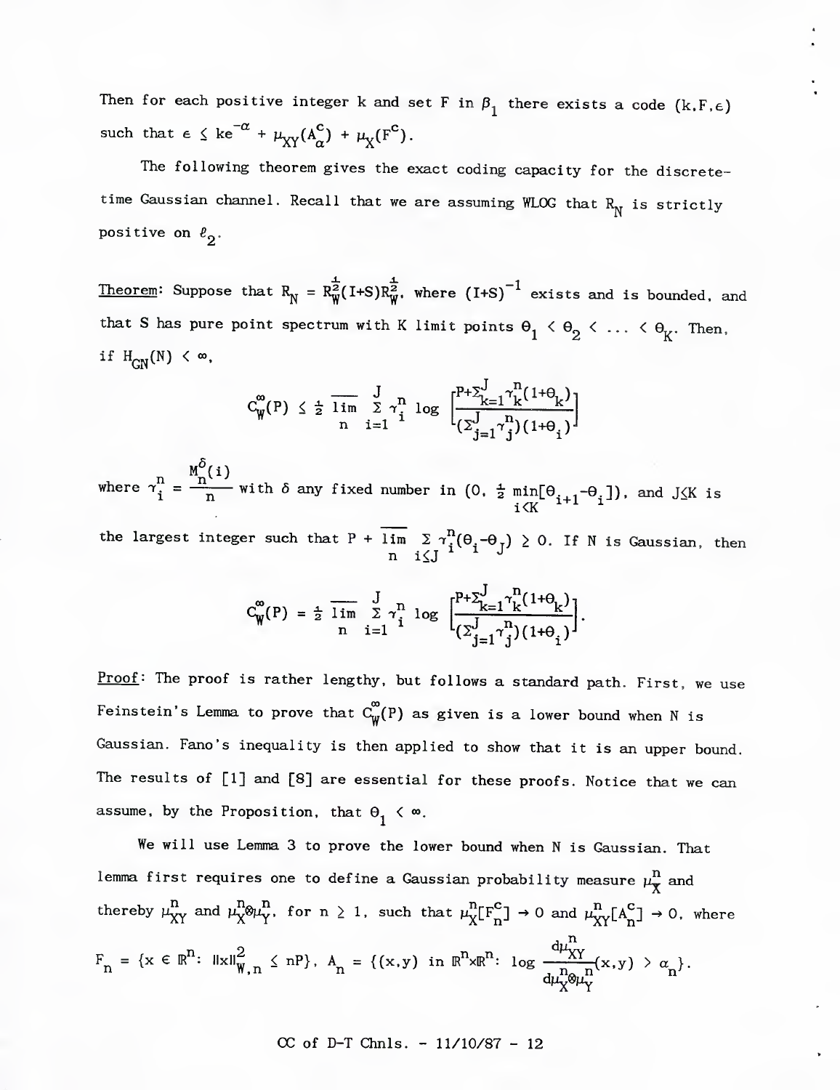Then for each positive integer k and set F in  $\beta_1$  there exists a code (k,F, $\epsilon$ ) such that  $\epsilon \leq ke^{-\alpha} + \mu_{XY}(A_{\alpha}^{\mathbf{C}}) + \mu_{X}(F^{\mathbf{C}}).$ 

The following theorem gives the exact coding capacity for the discretetime Gaussian channel. Recall that we are assuming WLOG that  $R_N$  is strictly positive on  $\ell_2$ .

Theorem: Suppose that  $R^2_N = R^{\frac{1}{2}}_W(I+S)R^{\frac{1}{2}}_W$ , where  $(I+S)^{-1}$  exists and is bounded, and that S has pure point spectrum with K limit points  $\Theta_1 < \Theta_2 < \ldots < \Theta_K$ . Then, if  $H_{GN}(N) < \infty$ .

$$
C_{\mathbf{W}}^{\infty}(\mathbf{P}) \leq \frac{1}{2} \overline{\lim}_{n} \sum_{i=1}^{J} \gamma_{i}^{n} \log \Big[ \frac{\mathbf{P}^{+} \Sigma_{k=1}^{J} \gamma_{k}^{n} (1+\theta_{k})}{(\Sigma_{j=1}^{J} \gamma_{j}^{n}) (1+\theta_{j})} \Big]
$$

 $M_{n}^{O}(i)$ where  $\gamma_i^{\rm n} = \frac{{\rm n}^{\rm n}}{\rm n}$  with  $\delta$  any fixed number in (0,  $\frac{1}{2}$  min[ $\Theta_{i+1}$ - $\Theta_i$ ]), and J $\leq$ K is **i<K** *^ \* ^* the largest integer such that P + lim  $\sum \gamma_i^* (\Theta_i - \Theta_\tau) \geq 0$ . If N is Gaussian, then n i $\leq J$   $\sim$   $\sim$ 

$$
C_{\mathbf{W}}^{m}(P) = \frac{1}{2} \overline{\lim}_{n} \sum_{i=1}^{J} \gamma_{i}^{n} \log \Big[ \frac{P + \sum_{k=1}^{J} \gamma_{k}^{n} (1 + \theta_{k})}{(\sum_{j=1}^{J} \gamma_{j}^{n}) (1 + \theta_{i})} \Big].
$$

Proof: The proof is rather lengthy, but follows a standard path. First, we use Feinstein's Lemma to prove that  $C^{\infty}_{\psi}(P)$  as given is a lower bound when N is Gaussian. Fano's inequality is then applied to show that it is an upper bound. The results of [1] and [8] are essential for these proofs. Notice that we can assume, by the Proposition, that  $\Theta_1 < \infty$ .

We will use Lemma 3 to prove the lower bound when N is Gaussian. That lemma first requires one to define a Gaussian probability measure  $\mu_{\overline{X}}^{\overline{n}}$  and thereby  $\mu_{XY}^n$  and  $\mu_{X}^n \mathcal{D}\mu_{Y}^n$ , for  $n \geq 1$ , such that  $\mu_{X}^n[F^c_n] \to 0$  and  $\mu_{XY}^n[A^c_n] \to 0$ , where  $d\mu_{\mathbf{v}}^{\mathbf{u}}$  $F_n = \{x \in \mathbb{R}^n: \|x\|_{\mathbb{W}, n}^2 \leq n\}$ ,  $A_n = \{(x,y) \text{ in } \mathbb{R}^n \times \mathbb{R}^n: \log \frac{d\mu_X^n}{d\mu_{\infty,n}^n}(x,y) > \alpha_n\}.$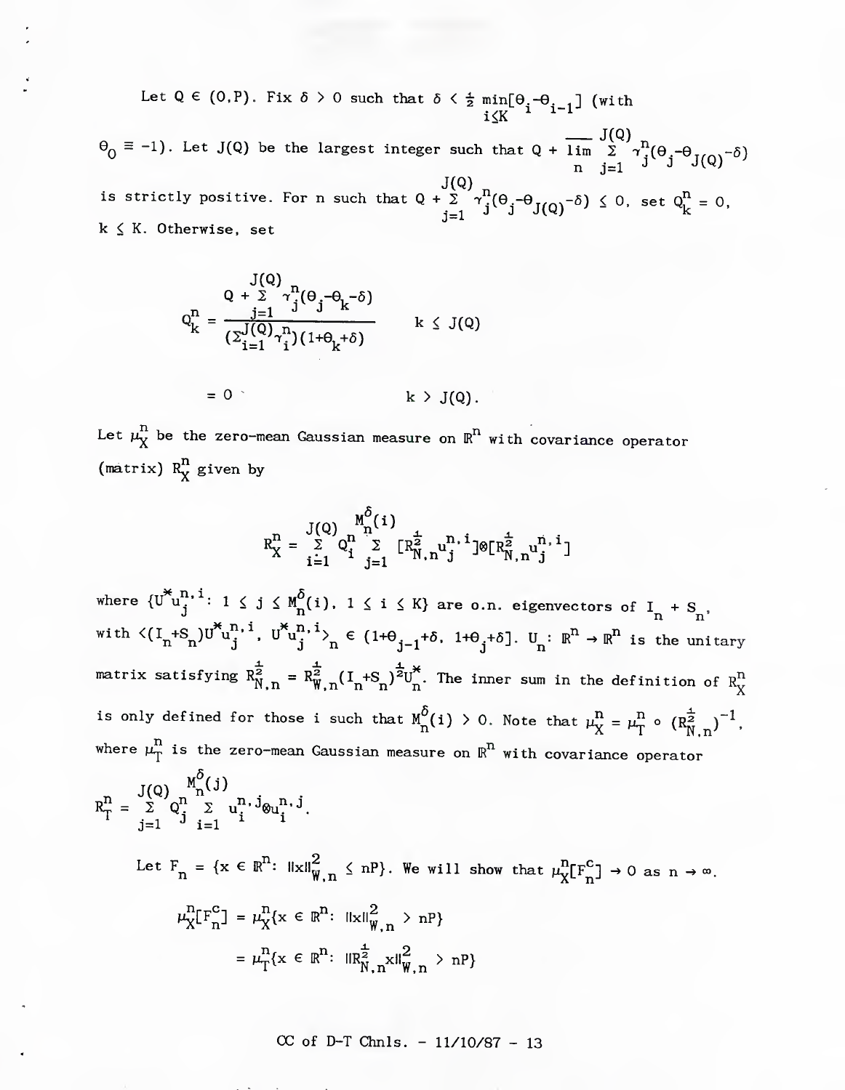Let  $Q \in (0, P)$ . Fix  $\delta > 0$  such that  $\delta < \frac{1}{2}$  min[ $\theta$ .- $\theta$ . .] (with  $i \leq K$  ^ ^ ^ ^ ^  $\Theta_0 \equiv -1$ ). Let J(Q) be the largest integer such that Q +  $\lim_{\Delta x \to 0} \sum_{i=1}^{J(Q)} \gamma_i^{\Delta}(\Theta_i - \Theta_{\Delta} - 5)$  $n \quad j=1$  J J(Q) J(Q) <sub>n</sub> is strictly positive. For n such that  $Q + \sum_{i=1}^{n} \gamma_i^i (\theta_i - \theta_i \gamma_{i0i} - \delta) < 0$ , set  $Q_i^{\Pi} = 0$ .  $j = 1$  J J(Q)  $-1 = 0$ , see  $\mathcal{F}_{k}$  $k \leq K$ . Otherwise, set

$$
Q_k^n = \frac{Q + \sum_{j=1}^{J(Q)} \gamma_j^n (\theta_j - \theta_k - \delta)}{(\sum_{i=1}^{J(Q)} \gamma_i^n)(1 + \theta_k + \delta)}
$$
 k < J(Q)

$$
= 0 \qquad k \geq J(Q).
$$

Let  $\mu_{\text{X}}^{\text{n}}$  be the zero-mean Gaussian measure on  $\mathbb{R}^{\text{n}}$  with covariance operator (matrix)  $R_X^n$  given by

$$
R_X^n = \sum_{i=1}^{J(Q)} Q_i^n \sum_{j=1}^{M_0^{\delta}(i)} [R_{N,n}^{\frac{1}{2}} u_j^{n,i}] \otimes [R_{N,n}^{\frac{1}{2}} u_j^{n,i}]
$$

where  $\{U^{\infty}u_j^{n_1, 1}: 1 \leq j \leq M^O(n(i), 1 \leq i \leq K\}$  are o.n. eigenvectors of  $I_n + S_n$ with  $\langle (I_n+S_n)U_{ij}^{*n}$ ,  $U_{ij}^{*n}$ ,  $U_{ij}^{*n}$ ,  $\langle U_{ij}^{*n} \rangle$   $\langle U_{ij}^{*n}$ .  $[1+\theta_{ij}+\delta]$ .  $U_{ij}$ :  $\mathbb{R}^n \to \mathbb{R}^n$  is the unitary matrix satisfying  $R^2_{N,n} = R^2_{W,n}(I_n + S_n)^2 U_n^{\uparrow\uparrow}$ . The inner sum in the definition of  $R^{\text{n}}_X$ is only defined for those i such that  $M_{n}^{\delta}(i) > 0$ . Note that  $\mu_{X}^{n} = \mu_{T}^{n} \circ (R_{N-n}^{\frac{1}{2}})^{-1}$ . where  $\mu_{\rm T}^{\rm n}$  is the zero-mean Gaussian measure on  $\text{R}^{\rm n}$  with covariance operator

$$
R_{T}^{n} = \sum_{j=1}^{J(Q)} Q_{j}^{n} \sum_{i=1}^{N} u_{i}^{n} \cdot j_{\omega_{i}^{n}}.
$$
  
Let  $F_{n} = \{x \in \mathbb{R}^{n}: ||x||_{W,n}^{2} \leq nP\}$ . We will show that  $\mu_{X}^{n}[F_{n}^{C}] \to 0$  as  $n \to \infty$ .  
 $\mu_{X}^{n}[F_{n}^{C}] = \mu_{X}^{n}\{x \in \mathbb{R}^{n}: ||x||_{W,n}^{2} > nP\}$   
 $= \mu_{T}^{n}\{x \in \mathbb{R}^{n}: ||R_{N,n}^{\frac{1}{2}}x||_{W,n}^{2} > nP\}$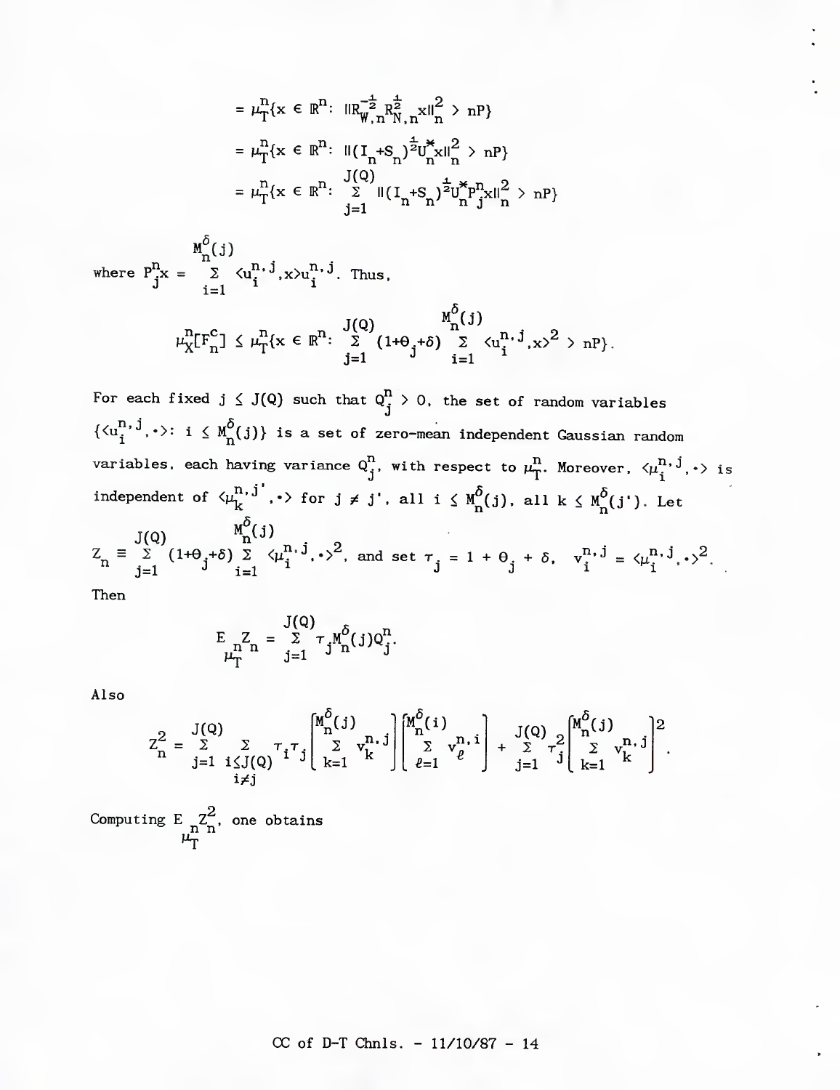$$
= \mu_{T}^{n}\{x \in \mathbb{R}^{n}: \|\mathbf{R}_{W,n}^{-\frac{1}{2}}\mathbf{R}_{N,n}^{\frac{1}{2}}x\|_{n}^{2} > nP\}
$$
  
\n
$$
= \mu_{T}^{n}\{x \in \mathbb{R}^{n}: \|\mathbf{I}_{n} + \mathbf{S}_{n}\right)^{\frac{1}{2}}\mathbf{U}_{n}^{*}\mathbf{x}\|_{n}^{2} > nP\}
$$
  
\n
$$
= \mu_{T}^{n}\{x \in \mathbb{R}^{n}: \sum_{j=1}^{J(Q)}\|\mathbf{I}_{n} + \mathbf{S}_{n}\right)^{\frac{1}{2}}\mathbf{U}_{n}^{*}\mathbf{P}_{j}^{n}\mathbf{x}\|_{n}^{2} > nP\}
$$

 $M_{\overline{n}}(j)$ where  $P_{j}^{H}x = \sum_{i=1}^{\infty} \left\{ u_{i}^{H_{i}, J} , x \right\} u_{i}^{H_{i}, J}$ . Thus,

$$
\mu_X^n[\mathrm{F}_n^c] \leq \mu_T^n \{x \in \mathbb{R}^n \colon \sum_{j=1}^{J(Q)} \frac{M_0^O(j)}{1+\theta_j+\delta} \sum_{i=1}^{N^O(j)} \langle u_i^{n, j}, x \rangle^2 > n\}.
$$

For each fixed  $j \leq J(Q)$  such that  $Q_j^n > 0$ , the set of random variables  $\{\langle u_i^{n,\,j},\cdot\rangle\colon \ i\le M^{\delta}_n(j)\}$  is a set of zero-mean independent Gaussian random variables, each having variance  $Q_j^n$ , with respect to  $\mu_T^n$ . Moreover,  $\langle \mu_i^{n, j}, \cdot \rangle$  is independent of  $\langle \mu_k^{n,j'}, \cdot \rangle$  for  $j \neq j'$ , all  $i \leq M^{\delta}_n(j)$ , all  $k \leq M^{\delta}_n(j')$ . Let

 $J(Q)$   $M^n(j)$  $Z_{n} \equiv \sum_{j=1}^{\infty} (1+\theta_{j}+\delta) \sum_{i=1}^{\infty} \langle \mu_{i}^{n} \cdot \nu_{i}^{2}, \text{ and set } \tau_{j} = 1 + \theta_{j} + \delta, \quad v_{i}^{n} \cdot \nu_{i}^{2} = \langle \mu_{i}^{n} \cdot \nu_{i}^{2} \rangle$ 

Then

$$
E_{\substack{n\\ \mu_{T}^{n}}}Z_{n} = \sum_{j=1}^{J(Q)} \tau_{j}M_{n}^{\delta}(j)Q_{j}^{n}.
$$

Also

$$
Z_{n}^{2} = \sum_{\substack{j=1 \ i \leq J(Q)}}^{J(Q)} \sum_{\substack{i,j=1 \ i \neq j}}^{T} \tau_{i} \tau_{j} \left[ \sum_{k=1}^{m^{O}(j)} v_{k}^{n,j} \right] \left[ \sum_{\ell=1}^{M^{O}(i)} v_{\ell}^{n,i} \right] + \sum_{j=1}^{J(Q)} \tau_{j}^{2} \left[ \sum_{k=1}^{M^{O}(j)} v_{k}^{n,j} \right]^{2}.
$$

Computing E  $\sum_{n=1}^{\infty}$  one obtains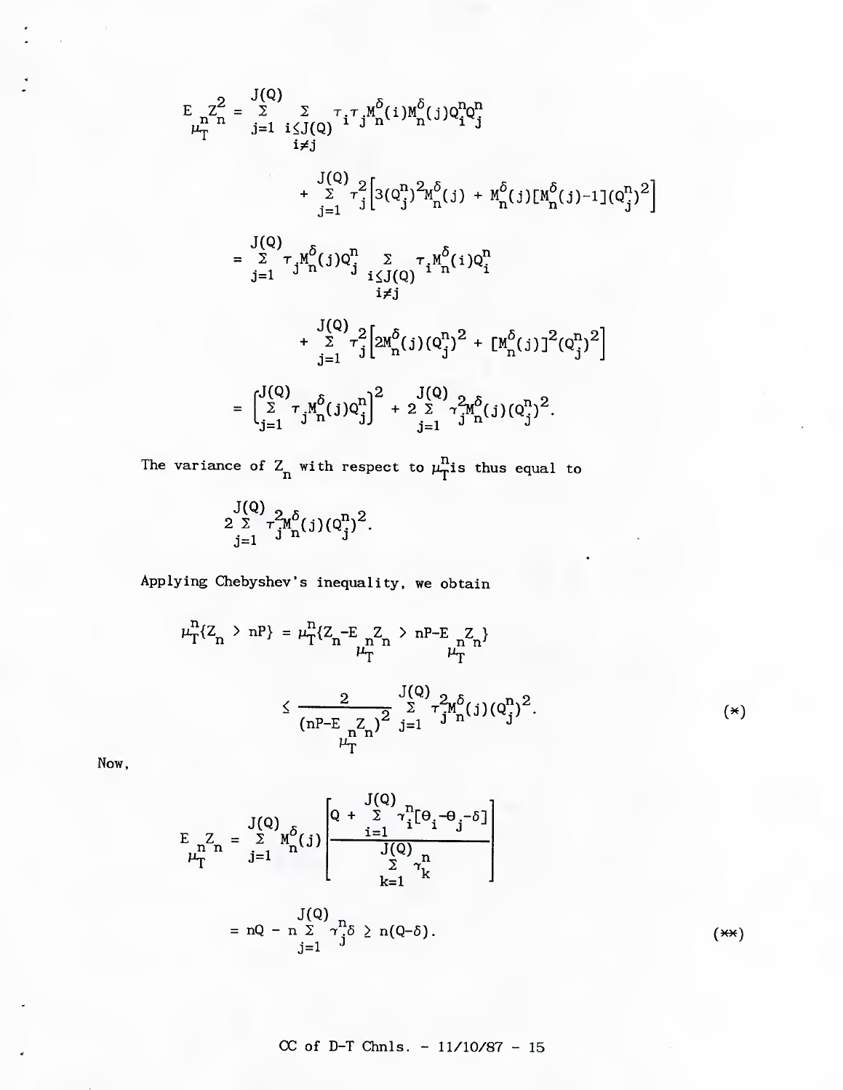$$
E_{\mu_{T}^{\Sigma}}Z_{n}^{2} = \sum_{j=1}^{J(Q)} \sum_{i \leq J(Q)} \tau_{i} \tau_{j} M_{n}^{\delta}(i) M_{n}^{\delta}(j) Q_{i}^{n} Q_{j}^{n}
$$
\n
$$
+ \sum_{j=1}^{J(Q)} \tau_{j}^{2} [3(Q_{j}^{n})^{2} M_{n}^{\delta}(j) + M_{n}^{\delta}(j)[M_{n}^{\delta}(j) - 1](Q_{j}^{n})^{2}]
$$
\n
$$
= \sum_{j=1}^{J(Q)} \tau_{j} M_{n}^{\delta}(j) Q_{j}^{n} \sum_{\substack{i \leq J(Q) \\ i \neq j}} \tau_{i} M_{n}^{\delta}(i) Q_{i}^{n}
$$
\n
$$
+ \sum_{j=1}^{J(Q)} \tau_{j}^{2} [2M_{n}^{\delta}(j)(Q_{j}^{n})^{2} + [M_{n}^{\delta}(j)]^{2}(Q_{j}^{n})^{2}]
$$
\n
$$
= \begin{bmatrix} J(Q) \\ \sum_{i=1}^{J(Q)} \tau_{j} M_{n}^{\delta}(j) Q_{j}^{n} \end{bmatrix}^{2} + 2 \sum_{i=1}^{J(Q)} \gamma_{j}^{2} M_{n}^{\delta}(j) (Q_{j}^{n})^{2}.
$$

The variance of  $Z_n$  with respect to  $\mu_T^n$ is thus equal to

 $2 \sum_{i} \tau^{2}_{i} M^{0}_{n}(j) (Q^{1}_{i})^{2}.$  $j=1$  J  $n'$ 

Applying Chebyshev's inequality, we obtain

$$
\mu_T^n\{Z_n > nP\} = \mu_T^n\{Z_n - E_{\mu_T^n}Z_n > nP - E_{\mu_T^n}Z_n\}
$$
  

$$
\leq \frac{2}{(nP - E_{\mu_T^n}Z_n)^2} \sum_{j=1}^{J(Q)} \tau_{j}^2 M_n^{\delta}(j) (Q_j^n)^2.
$$
 (\*)

Now,

$$
E_{\substack{n\\ \mu_{T}^{1}}} Z_{n} = \sum_{j=1}^{J(Q)} M_{n}^{\delta}(j) \left[ \frac{Q + \sum_{i=1}^{J(Q)} \gamma_{i}^{n} [ \Theta_{i} - \Theta_{j} - \delta ]}{\sum_{k=1}^{J(Q)} \gamma_{k}^{n}} \right]
$$
  
= nQ - n  $\sum_{j=1}^{J(Q)} \gamma_{j}^{n} \delta \ge n(Q - \delta).$  (\*\*\*)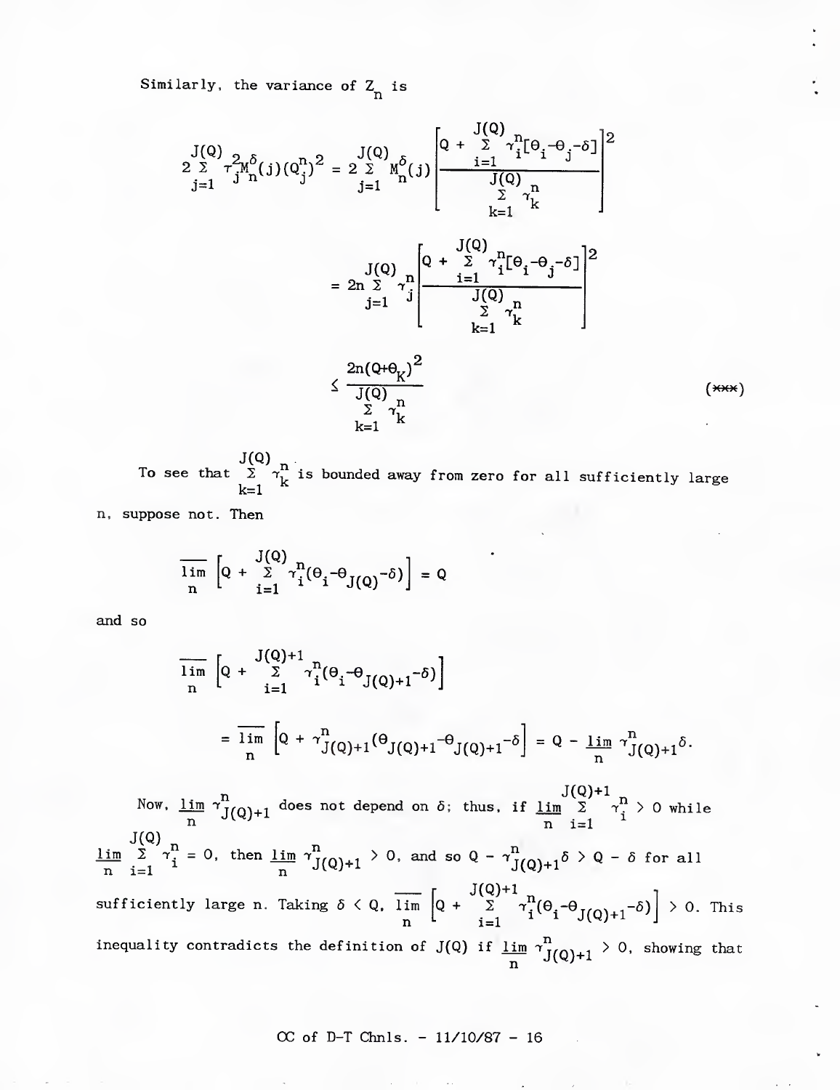Similarly, the variance of  $\mathbb{Z}_n$  is

$$
\begin{aligned}\n\frac{J(Q)}{2 \sum_{j=1}^{2} \tau_{j}^{2} \eta_{n}^{\delta}(j) (Q_{j}^{n})^{2}} &= 2 \sum_{j=1}^{J(Q)} \eta_{n}^{\delta}(j) \left[ \frac{Q + \sum_{i=1}^{J(Q)} \tau_{i}^{n} [\theta_{i} - \theta_{j} - \delta]}{J(Q)} \right]^{2} \\
&= 2 \sum_{j=1}^{J(Q)} \tau_{k}^{n} \\
&= 2 \sum_{j=1}^{J(Q)} \tau_{j}^{n} \left[ \frac{Q + \sum_{i=1}^{J(Q)} \tau_{i}^{n} [\theta_{i} - \theta_{j} - \delta]}{J(Q)} \right]^{2} \\
&\leq \frac{2 \eta (Q + \theta_{K})^{2}}{J(Q) \sum_{i=1}^{J(Q)} \tau_{k}^{n}} \\
&\leq \frac{\sum_{i=1}^{J(Q)} \tau_{i}^{n}}{J(Q) \sum_{i=1}^{J(Q)} \tau_{i}^{n}}\n\end{aligned}
$$

 $J(Q)$   $n_i$ To see that 2 *T^* is bounded away from zero for all sufficiently large

n, suppose not. Then

$$
\overline{\lim_{n}}\left[Q + \sum_{i=1}^{J(Q)} \gamma_{i}^{n} (\theta_{i} - \theta_{J(Q)} - \delta)\right] = Q
$$

and so *. <sup>I</sup>*

$$
\frac{1}{\lim_{n} \left[Q + \sum_{i=1}^{J(Q)+1} \gamma_{i}^{n} (\theta_{i} - \theta_{J(Q)+1} - \delta) \right]}
$$
\n
$$
= \frac{1}{\lim_{n} \left[Q + \gamma_{J(Q)+1}^{n} (\theta_{J(Q)+1} - \theta_{J(Q)+1} - \delta) \right] = Q - \lim_{n} \gamma_{J(Q)+1}^{n} \delta.
$$

Now, <u>lim</u>  $\gamma^n_{I(\Omega)+1}$  does not depend on  $\delta$ ; thus, if <u>lim</u>  $\sum_{i=1}^N \gamma^n_i > 0$  while  $n$  i=l  $\lim_{\delta \to 0}$   $\sum \tau_i^2 = 0$ , then  $\lim_{\delta \to 0} \tau_{I(\delta)+1}^2 > 0$ , and so  $Q - \tau_{I(\delta)+1}^2 \delta > Q - \delta$  for all n i=l  $n$  n  $J(Q) + 1$ n sufficiently large n. Taking 5 < Q, lim n J(Q)+i  $Q + \sum_{i=1}^{J(Q)+1} \gamma_i^n (\Theta_i - \Theta_{J(Q)+1} - \delta) \Big] > 0.$  This inequality contradicts the definition of  $J(Q)$  if  $\frac{\lim}{n} \tau_{J(Q)+1}^n > 0$ , showing that

## $(\overline{\star\star\star})$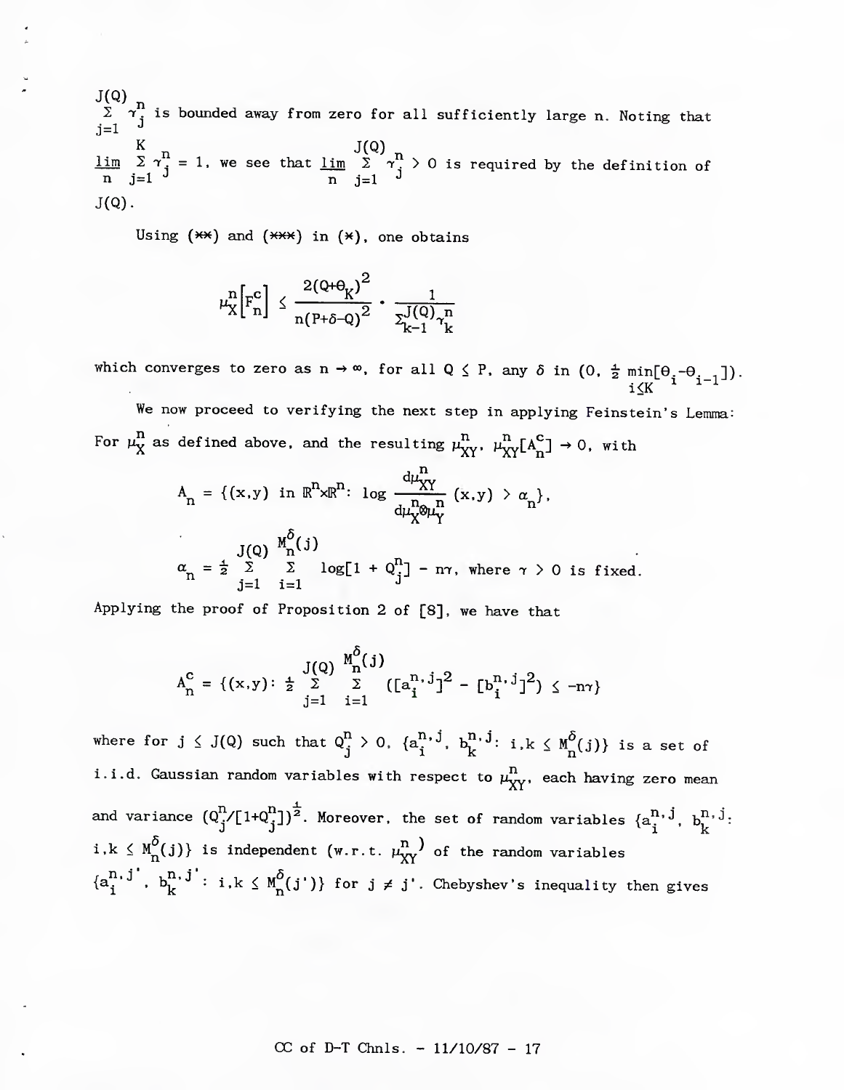J(Q) <sub>n</sub>  $2$   $\gamma$  is bounded away from zero for all sufficiently large n. Noting that j=l *-^*  $\lim_{n \to \infty}$   $\lim_{n \to \infty}$   $\lim_{n \to \infty}$   $\lim_{n \to \infty}$   $\lim_{n \to \infty}$   $\lim_{n \to \infty}$   $\lim_{n \to \infty}$   $\lim_{n \to \infty}$   $\lim_{n \to \infty}$   $\lim_{n \to \infty}$   $\lim_{n \to \infty}$   $\lim_{n \to \infty}$   $\lim_{n \to \infty}$   $\lim_{n \to \infty}$   $\lim_{n \to \infty}$   $\lim_{n \to \infty}$   $\lim_{n \to \infty}$  n j=l *-^* n j=l *^*  $J(Q)$ .

Using  $(**)$  and  $(**)$  in  $(*)$ , one obtains

$$
\mu_X^n\left[\mathrm{F}_n^c\right] \leq \frac{2(Q+\Theta_K)^2}{n(P+\delta-Q)^2} \cdot \frac{1}{\Sigma_{k-1}^{J(Q)}\gamma_k^n}
$$

which converges to zero as  $n \to \infty$ , for all  $Q \leq P$ , any  $\delta$  in (0,  $\frac{1}{2}$  min[0.-0. .1) .  $\frac{1}{2}$   $\frac{1}{2}$   $\frac{1}{2}$   $\frac{1}{2}$   $\frac{1}{2}$   $\frac{1}{2}$   $\frac{1}{2}$   $\frac{1}{2}$   $\frac{1}{2}$   $\frac{1}{2}$   $\frac{1}{2}$   $\frac{1}{2}$ 

We now proceed to verifying the next step in applying Feinstein's Lemma: For  $\mu^{\mathbf{n}}_X$  as defined above, and the resulting  $\mu^{\mathbf{n}}_{XY}$ ,  $\mu^{\mathbf{n}}_{XY}[\mathbf{A}^{\mathbf{C}}_{\mathbf{n}}] \to 0$ , with

$$
A_n = \{(x,y) \text{ in } \mathbb{R}^n \times \mathbb{R}^n: \log \frac{d\mu_X^n}{d\mu_X^n \otimes \mu_Y^n} (x,y) > \alpha_n \},
$$
  

$$
\alpha_n = \frac{J(Q)}{2} \sum_{j=1}^{M_n^{\delta}(j)} \log[1 + Q_j^n] - n\gamma, \text{ where } \gamma > 0 \text{ is fixed.}
$$

Applying the proof of Proposition 2 of [8], we have that

$$
A_{n}^{c} = \{(x,y): \frac{1}{2} \sum_{j=1}^{J(Q)} \sum_{i=1}^{M_{n}^{o}(j)} ([a_{i}^{n,j}]^{2} - [b_{i}^{n,j}]^{2}) \leq -n\gamma\}
$$

where for  $j \leq J(Q)$  such that  $Q_j^n > 0$ .  $\{a_j^{n,j}, b_k^{n,j}: i,k \leq M^{\delta}(j)\}$  is a set of i.i.d. Gaussian random variables with respect to  $\mu_{XY}^n$ , each having zero mean and variance  $(Q^{\dagger}_{j}/[1+Q^{\dagger}_{j}])^2$ . Moreover, the set of random variables  $\{a^{\text{II}}, J, b^{\text{II}, J}_k:\}$  $i,k \leq M_{n}^{\delta}(j)$  is independent (w.r.t.  $\mu_{XY}^{n}$ ) of the random variables  $\{a^{n, j'}_i, b^{n, j'}_k: i, k \leq M^{\delta}_n(j')\}$  for  $j \neq j'$ . Chebyshev's inequality then gives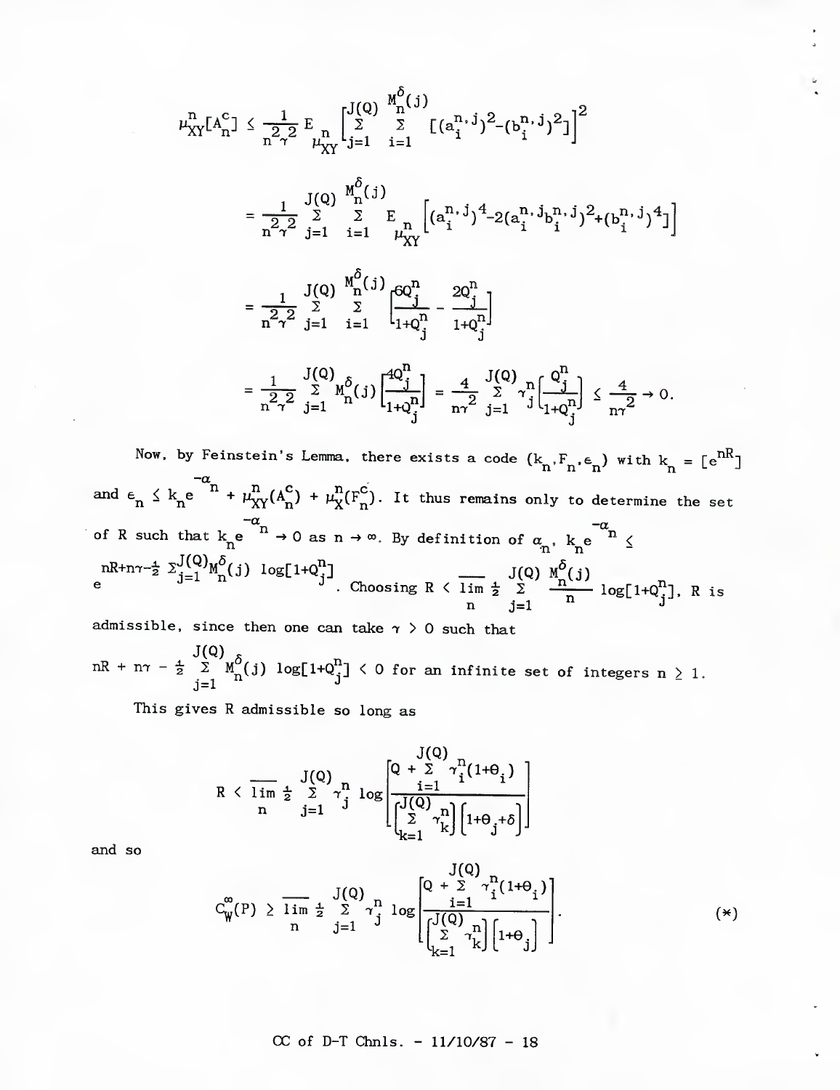$$
\mu_{XY}^{n}[A_{n}^{c}] \leq \frac{1}{n^{2} \gamma^{2}} E_{\mu_{XY}^{n}} \left[ \sum_{j=1}^{J(Q)} \sum_{i=1}^{M_{0}^{6}} [ (a_{i}^{n,j})^{2} - (b_{i}^{n,j})^{2} ] \right]^{2}
$$
\n
$$
= \frac{1}{n^{2} \gamma^{2}} \sum_{j=1}^{J(Q)} \sum_{i=1}^{M_{0}^{6}} E_{\mu_{XY}^{n}} \left[ (a_{i}^{n,j})^{4} - 2(a_{i}^{n,j}b_{i}^{n,j})^{2} + (b_{i}^{n,j})^{4} \right]
$$
\n
$$
= \frac{1}{n^{2} \gamma^{2}} \sum_{j=1}^{J(Q)} \sum_{i=1}^{M_{0}^{6}} \sum_{i=1}^{J(Q)} \frac{p_{0}^{n}}{1 + q_{j}^{n}} - \frac{2Q_{j}^{n}}{1 + q_{j}^{n}}
$$
\n
$$
= \frac{1}{n^{2} \gamma^{2}} \sum_{j=1}^{J(Q)} \sum_{i=1}^{M_{0}^{6}} [ (j) \left[ \frac{4Q_{j}^{n}}{1 + q_{j}^{n}} \right] = \frac{4}{n\gamma^{2}} \sum_{j=1}^{J(Q)} \gamma_{j}^{n} \left[ \frac{Q_{j}^{n}}{1 + q_{j}^{n}} \right] \leq \frac{4}{n\gamma^{2}} \to 0.
$$

Now, by Feinstein's Lemma, there exists a code  $(\mathbf{k}_n, \mathbf{F}_n, \mathbf{\epsilon}_n)$  with  $\mathbf{k}_n = [\mathbf{e}^{nR}]$  $-\alpha$ and  $\epsilon_n \leq k_n e^{- \epsilon_n^+ + \mu_{XY}^m(A_n^{\epsilon}) + \mu_X^m(F_n^{\epsilon})}$ . It thus remains only to determine the set of R such that  $k_n e^{-n} \to 0$  as  $n \to \infty$ . By definition of  $\alpha_n$ ,  $k_n e^{-\alpha_n} \le$  $nR+n\tau-\frac{1}{2} \sum_{i=1}^{N}M^{(i)}_{i}(j) \log[1+Q^{(i)}_{i}]$  J(Q)  $M^{(i)}(j)$ e  $e^{ \int_{0}^{1-x} \ln \frac{1}{2}}$ . Choosing R  $\leq \lim_{n \to \infty} \frac{1}{n} \left[ \frac{n}{2} \right]$ . R is

admissible, since then one can take  $\gamma > 0$  such that J(Q) <sub>ຈ</sub> nR + n $\tau$  -  $\frac{1}{2}$  2 M<sub>p</sub>(j) log[1+Q''] < 0 for an infinite set of integers n  $>$  1, J=l *-^*

This gives R admissible so long as

$$
R < \overline{\lim\limits_{n} \frac{1}{2} \sum\limits_{j=1}^{J(Q)} \gamma_j^n} \log \left[ \frac{Q + \sum\limits_{i=1}^{J(Q)} \gamma_i^n (1+\theta_i)}{\left[ \begin{matrix} J(Q) \\ \sum\limits_{k=1}^{i=1} \gamma_k^n \end{matrix} \right] \left[ 1+\theta_j+\delta \right]} \right]
$$

and so

$$
C_{\mathbf{W}}^{\infty}(P) \geq \frac{1}{\lim_{n} \frac{1}{2} \sum_{j=1}^{J(Q)} \gamma_{j}^{n} \log \left[ \frac{Q + \sum_{i=1}^{J(Q)} \gamma_{i}^{n} (1 + \Theta_{i})}{\left[ \sum_{k=1}^{J(Q)} \gamma_{k}^{n} \right] \left[ 1 + \Theta_{j} \right]} \right].
$$
 (\*)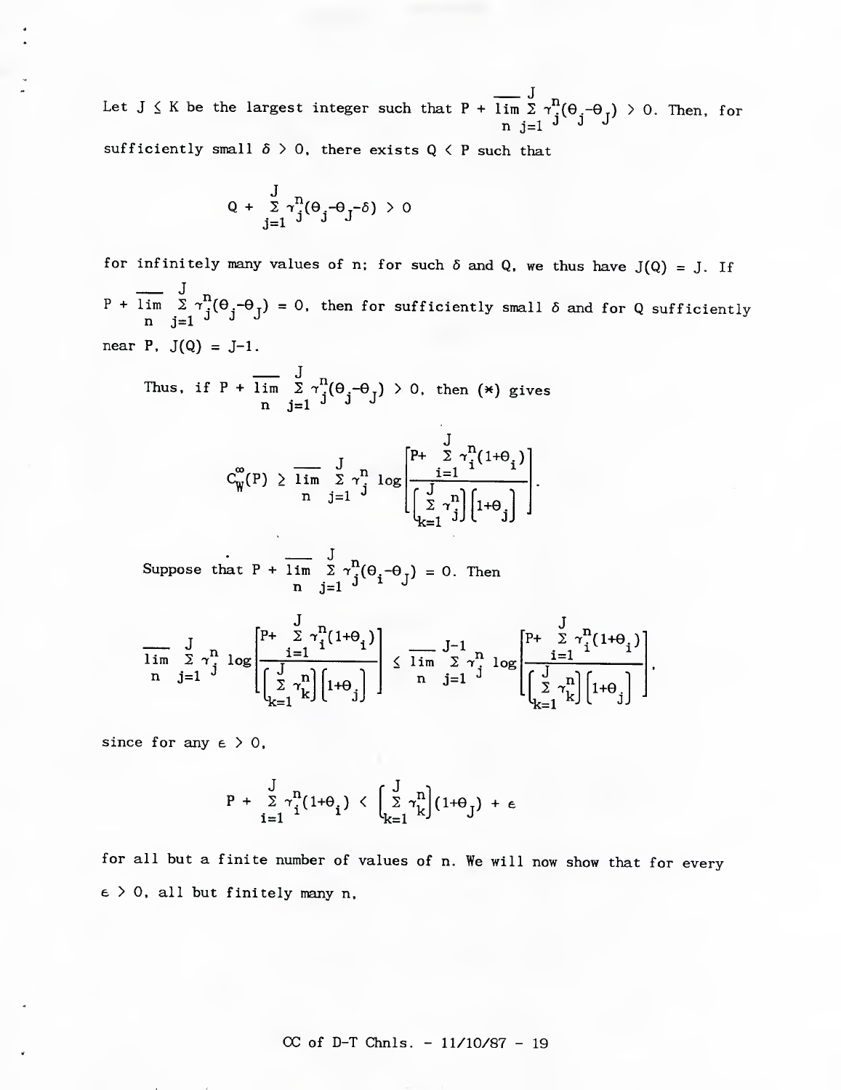Let  $J \le K$  be the largest integer such that  $P + \lim_{n \to \infty} \sum_{j=1}^{n} \gamma^{\mu}(\theta_j - \theta_j) > 0$ . Then, for

sufficiently small  $\delta > 0$ , there exists  $Q \leq P$  such that

$$
Q + \sum_{j=1}^{J} \gamma_j^n (\theta_j - \theta_j - \delta) > 0
$$

for infinitely many values of n; for such  $\delta$  and Q, we thus have  $J(Q) = J$ . If  $J_n$  $P$  + lim  $\Sigma$   $\gamma$   $(\Theta_{\rm g}$   $-\Theta_{\rm f})$  = 0, then for sufficiently small  $\delta$  and for Q sufficiently n j=1 J J J near  $P$ ,  $J(Q) = J-1$ .

Thus, if P + 
$$
\lim_{n} \frac{J}{\underline{s}} \gamma_{j}^{n}(\theta_{j} - \theta_{j}) > 0
$$
, then (\*) gives

$$
C^{\infty}_W(P) \geq \overline{\lim_{n} \sum_{j=1}^{J} \gamma_j^n} \log \left[\frac{P^+ \sum\limits_{i=1}^{J} \gamma_i^n (1+\theta_i)}{\left[\sum\limits_{k=1}^{J} \gamma_j^n\right]\left[1+\theta_j\right]}\right].
$$

Suppose that P + lim  $\sum_{i=1}^{n} \gamma_i^{\text{n}}(\theta_i - \theta_i) = 0$ . Then  $n$  j=1  $\lambda$   $\lambda$   $\lambda$ 

$$
\frac{J}{\lim\limits_{n}\sum\limits_{j=1}^{N}\gamma_{j}^{n}\log\left[\frac{\sum\limits_{i=1}^{J}\gamma_{i}^{n}(1+\theta_{i})}{\left[\sum\limits_{k=1}^{J}\gamma_{k}^{n}\right]\left[1+\theta_{j}\right]}\right]\leq\frac{J-1}{\lim\limits_{n}\sum\limits_{j=1}^{J-1}\gamma_{j}^{n}\log\left[\frac{P+\sum\limits_{i=1}^{J}\gamma_{i}^{n}(1+\theta_{i})}{\left[\sum\limits_{k=1}^{J}\gamma_{k}^{n}\right]\left[1+\theta_{j}\right]}\right],
$$

since for any  $\epsilon > 0$ ,

$$
P + \sum_{i=1}^{J} \gamma_i^n (1+\theta_i) \leq \left(\sum_{k=1}^{J} \gamma_k^n \right) (1+\theta_j) + \epsilon
$$

for all but a finite number of values of n. We will now show that for every  $\epsilon$  > 0, all but finitely many n,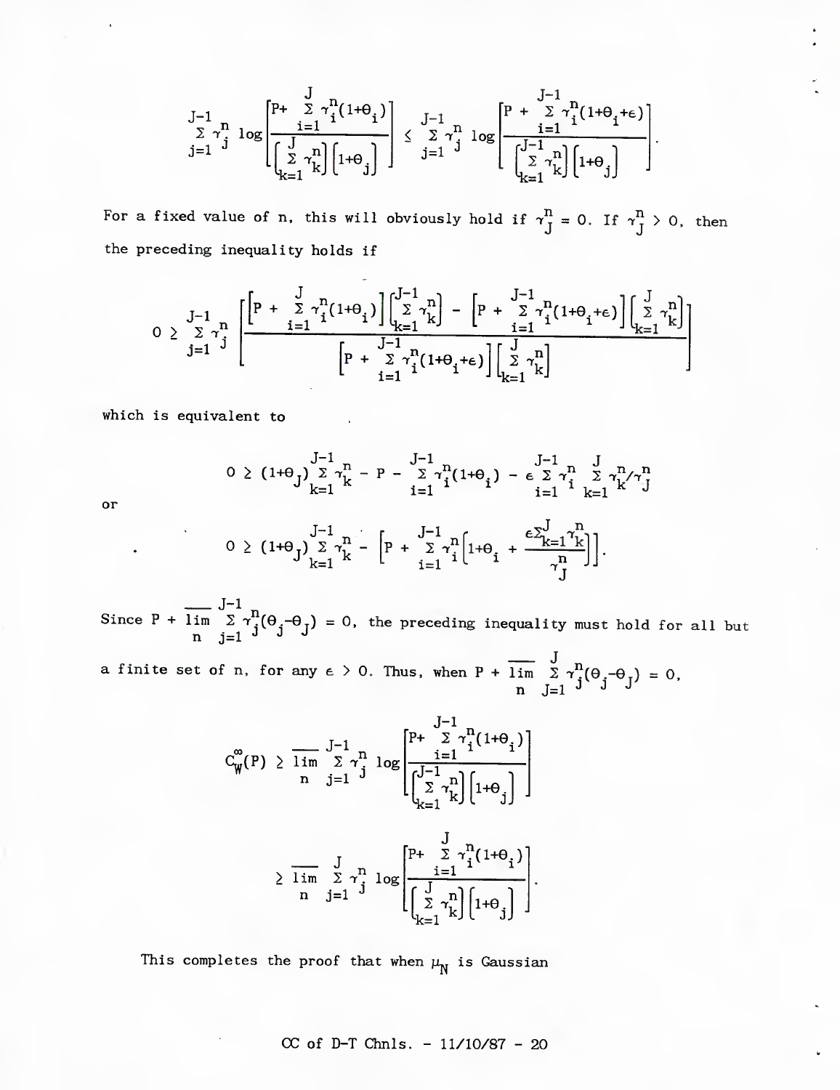$$
\substack{J-1 \ \sum \ \gamma^n \ \log \left[\frac{p+\sum \ \gamma^n_i(1+\theta_i)}{\sum \ \gamma^n_k\right][1+\theta_j]}} \right] \leq \frac{J-1}{\sum \ \gamma^n_j} \log \left[\frac{p+\sum \ \gamma^n_i(1+\theta_i+\epsilon)}{\sum \ \gamma^n_i\left[\frac{1}{\sum \ \gamma^n_k\right][1+\theta_j]}}\right].
$$

for a fixed value of n, this will obviously hold if  $\gamma_J^{\prime \prime} = 0$ . If  $\gamma_J^{\prime \prime} > 0$ , then the preceding inequality holds if

$$
0 \geq \sum\limits_{j=1}^{J-1} \gamma_j^n \left[ \frac{\left[ P \ + \ \sum\limits_{i=1}^{J} \gamma_i^n (1+ \theta_i) \right] \left[ \sum\limits_{k=1}^{J-1} \gamma_k^n \right] - \left[ P \ + \ \sum\limits_{i=1}^{J-1} \gamma_i^n (1+ \theta_i+\epsilon) \right] \left[ \sum\limits_{k=1}^{J} \gamma_k^n \right]}{\left[ P \ + \ \sum\limits_{i=1}^{J-1} \gamma_i^n (1+ \theta_i+\epsilon) \right] \left[ \sum\limits_{k=1}^{J} \gamma_k^n \right] } \right]
$$

which is equivalent to

or

$$
0 \geq (1+\theta_{J}) \sum_{k=1}^{J-1} \gamma_{k}^{n} - P - \sum_{i=1}^{J-1} \gamma_{i}^{n} (1+\theta_{i}) - \epsilon \sum_{i=1}^{J-1} \gamma_{i}^{n} \sum_{k=1}^{J} \gamma_{k}^{n} / \gamma_{J}^{n}
$$
  

$$
0 \geq (1+\theta_{J}) \sum_{k=1}^{J-1} \gamma_{k}^{n} - \left[ P + \sum_{i=1}^{J-1} \gamma_{i}^{n} \left[ 1+\theta_{i} + \frac{\epsilon \sum_{k=1}^{J} \gamma_{k}^{n}}{\gamma_{J}^{n}} \right] \right].
$$

 $J-1$ Since P + lim  $\sum \tau_i^2(\theta_i-\theta_j) = 0$ , the preceding inequality must hold for all but n j=1 <sup>J</sup> J J

a finite set of n, for any  $\epsilon > 0$ . Thus, when P + lim  $\Sigma \, \gamma^{\Omega}(\Theta, -\Theta_{\tau}) \, = \, 0,$  $n \quad J=1$  J J J

$$
C_{\mathbf{W}}^{\infty}(P) \geq \overline{\lim}_{n} \sum_{j=1}^{J-1} \gamma_{j}^{n} \log \left[ \frac{P + \sum_{i=1}^{J-1} \gamma_{i}^{n} (1+\theta_{i})}{\sum_{k=1}^{J-1} \gamma_{k}^{n}} \right]
$$

$$
\geq \overline{\lim}_{n} \sum_{j=1}^{J} \gamma_{j}^{n} \log \left[ \frac{P + \sum_{i=1}^{J} \gamma_{i}^{n} (1+\theta_{i})}{\sum_{k=1}^{J} \gamma_{k}^{n} (1+\theta_{i})} \right].
$$

This completes the proof that when  $\mu_{\text{N}}$  is Gaussian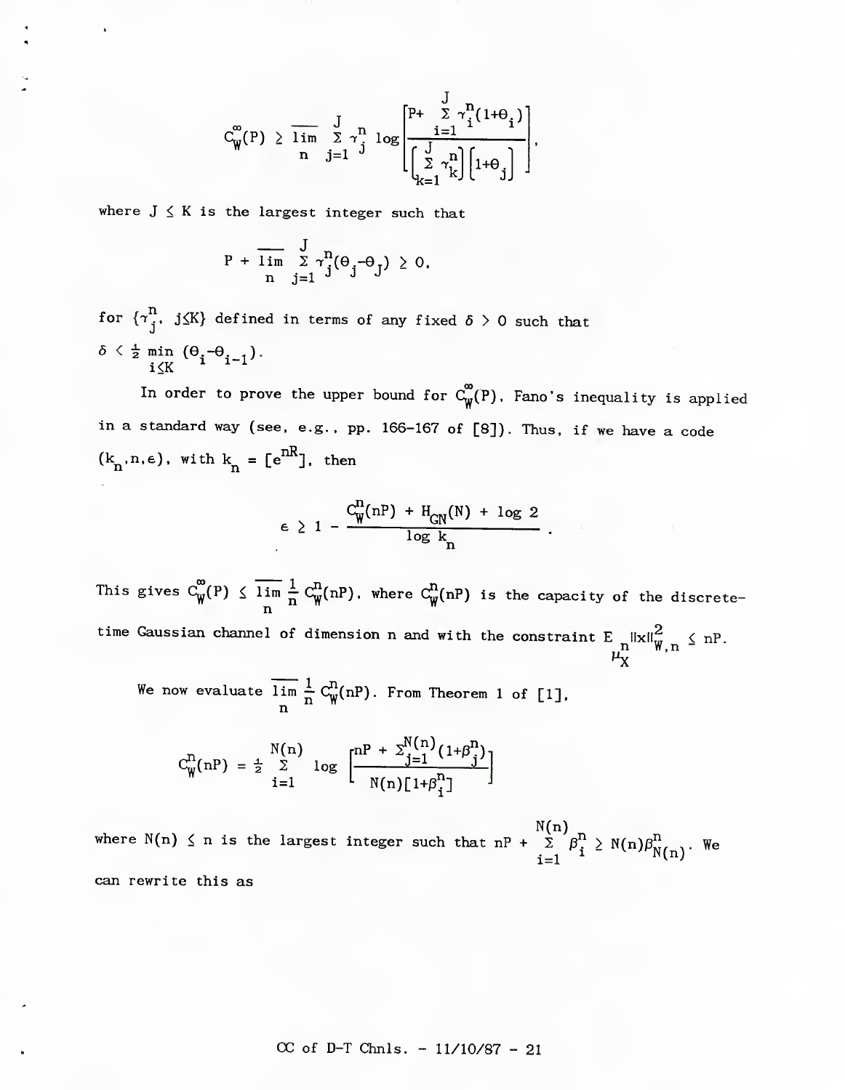$$
C_{\boldsymbol{\psi}}^{\boldsymbol{\infty}}(\mathrm{P}) \geq \overline{\lim_{n} \sum_{j=1}^{J} \gamma_{j}^{n} \log \left[\frac{\sum_{i=1}^{J} \gamma_{i}^{n} (1+\theta_{i})}{\left[\sum_{k=1}^{J} \gamma_{k}^{n}\right] \left[1+\theta_{j}\right]}\right]},
$$

where  $J \leq K$  is the largest integer such that

$$
P + \overline{\lim_{n} \sum_{j=1}^{J} \gamma_j^n}(\Theta_j - \Theta_j) \geq 0,
$$

for  $\{\tau_i^{\bf n},\;j\leq K\}$  defined in terms of any fixed  $\delta>0$  such that  $\delta \leq \frac{1}{2}$  min  $(\Theta, -\Theta, 1)$ .  $i \leq K$   $i \leq i-1$ <sup>*'*</sup>

In order to prove the upper bound for  $C_{\psi}^{\infty}(P)$ , Fano's inequality is applied in a standard way (see, e.g.. pp. 166-167 of [8]). Thus, if we have a code  $(k_{n}, n, \epsilon)$ , with  $k_{n} = [e^{nR}]$ , then

$$
\epsilon \geq 1 - \frac{C_{\text{W}}^{\text{n}}(nP) + H_{\text{CN}}(N) + \log 2}{\log k_{\text{n}}}
$$

This gives  $C^{\prime}_{\text{W}}(P) \leq \lim_{n \to \infty} \frac{1}{n} C^{\prime\prime}_{\text{W}}(nP)$ , where  $C^{\prime\prime}_{\text{W}}(nP)$  is the capacity of the discreten time Gaussian channel of dimension n and with the constraint E  $\left\| \mathbf{x} \right\|_\infty^2 \quad \langle$  nP  $n^{\text{max}}$  W,  $n \rightarrow$ 

We now evaluate lim  $\frac{1}{n} C_w^{(1)}(nP)$ . From Theorem 1 of [1]. n

$$
C_{\mathbf{W}}^{n}(nP) = \frac{1}{2} \sum_{i=1}^{N(n)} log \left[ \frac{nP + \sum_{j=1}^{N(n)} (1+\beta_{j}^{n})}{N(n)[1+\beta_{i}^{n}]} \right]
$$

N(n) where N(n)  $\leq$  n is the largest integer such that nP +  $\sum$   $\beta_i^{\text{II}}$   $\geq$  N(n) $\beta_{N(n)}^{\text{II}}$ . We can rewrite this as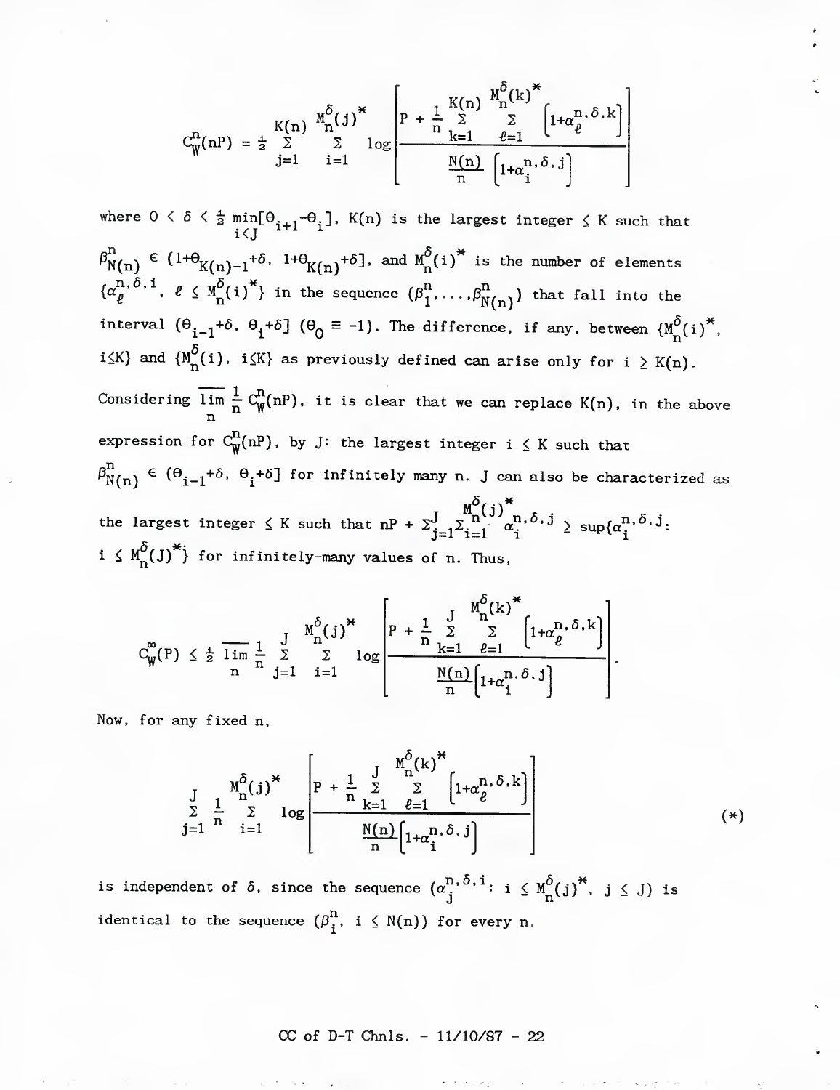$$
C_W^n(nP) = \frac{1}{2} \sum_{j=1}^{K(n)} \sum_{i=1}^{M_0^{\delta}(j)^*} \log \left[ P + \frac{1}{n} \sum_{k=1}^{K(n)} \sum_{\ell=1}^{M_0^{\delta}(k)^*} \left[ 1 + \alpha_{\ell}^{n, \delta, k} \right] \right]
$$

where  $0 < \delta < \frac{1}{2}$  min[ $\Theta_{i+1}$ - $\Theta_i$ ], K(n) is the largest integer  $\leq$  K such that i<J  $\tilde{\Gamma}_{N(n)}^{\text{H}} \in (1+\Theta_{K(n)-1}^+ \delta, \ \ 1+\Theta_{K(n)}^+ \delta]$ , and  $\text{M}_n^o(i)^\text{*}$  is the number of elements  $\{\alpha_{\ell}^{n,\delta,\,i},\ \ell\leq M_{n}^{\delta}(i)^{\star}\}$  in the sequence  $(\beta_{1}^{n},\ldots,\beta_{N(n)}^{n})$  that fall into the interval  $(\theta_{i-1}+\delta, \theta_i+\delta]$   $(\theta_0 \equiv -1)$ . The difference, if any, between  ${M^{\delta}_n(i)}^*$ ,  $i \leq K$ } and  $\{M^{\delta}_{n}(i), i \leq K\}$  as previously defined can arise only for  $i \geq K(n)$ . Considering lim  $\frac{1}{n}$   $C_{\text{W}}^{\cdot}(nP)$ , it is clear that we can replace K(n), in the above n expression for  $C^{\textbf{n}}_{\textbf{W}}(nP)$ , by J: the largest integer i  $\leq K$  such that  $\beta_{N(n)}^n \in (\Theta_{i-1}^+ \delta, \ \Theta_i^+ \delta]$  for infinitely many n. J can also be characterized as the largest integer  $\leq K$  such that  $nP + \sum_{j=1}^{J} \sum_{i=1}^{N} \alpha_i^{H, 0, J} \geq \sup\{\alpha_i^{H, 0, J}\}\$  $i \leq M_{n}^{(1)}$  for infinitely-many values of n. Thus,

$$
C_{\widetilde{W}}^{\infty}(P) \leq \frac{1}{2} \overline{\lim}_{n} \frac{1}{n} \sum_{j=1}^{J} \sum_{i=1}^{M_{n}^{\delta}(j)^{*}} \log \left[ P + \frac{1}{n} \sum_{k=1}^{J} \sum_{\ell=1}^{M_{n}^{\delta}(k)^{*}} \left[ 1 + \alpha_{\ell}^{n, \delta, k} \right] \right].
$$

Now, for any fixed n.

$$
\frac{J}{\sum_{j=1}^{N} \frac{1}{n} \sum_{i=1}^{M_0^{\delta}(j)^*} \log \left[ P + \frac{1}{n} \sum_{k=1}^{J} \sum_{\ell=1}^{M_0^{\delta}(k)^*} \left[ 1 + \alpha_{\ell}^{n, \delta, k} \right] \right]
$$
\n(\*)

is independent of  $\delta$ , since the sequence  $({\alpha}_i^{n,\delta,i}\colon i\leq M_0^{\delta}(j)^*,\ j\leq J)$  is identical to the sequence  $(\beta_i^n, i \leq N(n))$  for every n.

 $CC of D-T Chnls. -  $11/10/87 - 22$$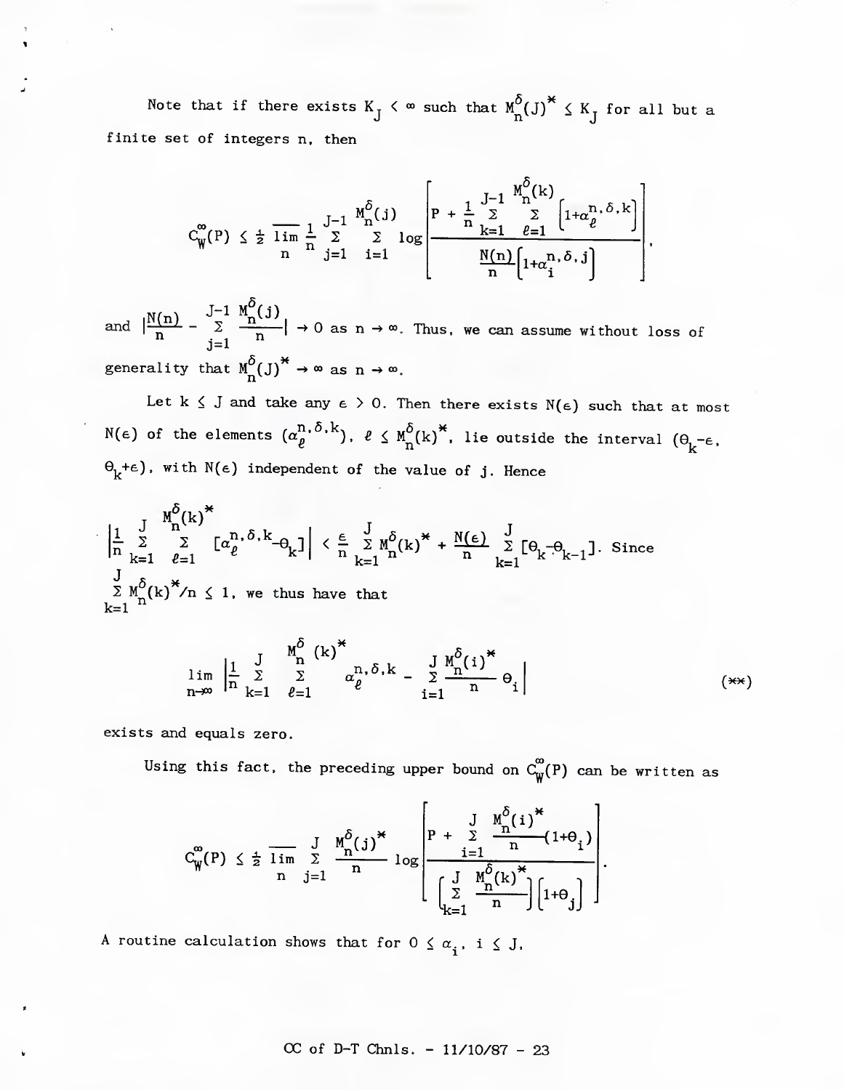Note that if there exists  $K_{\tilde{J}}$   $\prec$   $^{\infty}$  such that  $M_{\tilde{R}}^{\mathcal{O}}(J)^{\breve{\star}}$   $\leq$   $K_{\tilde{J}}$  for all but a finite set of integers n, then

$$
C_{\hat{W}}^{\infty}(P) \leq \frac{1}{2} \overline{\lim}_{n} \frac{1}{n} \sum_{j=1}^{J-1} \sum_{i=1}^{M_{n}^{\delta}(j)} \log \left[ \frac{P + \frac{1}{n} \sum_{k=1}^{J-1} \sum_{\ell=1}^{M_{n}^{\delta}(k)} \left[ 1 + \alpha_{\ell}^{n, \delta, k} \right]}{\frac{N(n)}{n} \left[ 1 + \alpha_{i}^{n, \delta, j} \right]} \right],
$$

and  $\frac{N(n)}{n}$  –  $J-1$   $M''_n(j)$  $\lim_{j=1}$   $\rightarrow$  0 as n  $\rightarrow$   $\infty$ . Thus, we can assume without loss of generality that  $M_n^{\circ}(J)^{n} \to \infty$  as  $n \to \infty$ .

Let k  $\leq$  J and take any  $\epsilon > 0$ . Then there exists N( $\epsilon$ ) such that at most N(e) of the elements  $(\alpha_{\ell}^{r}, \ldots^r),$   $\ell \leq \texttt{M}^{\texttt{o}}_{\texttt{n}}(k)^{\texttt{o}}$ , lie outside the interval  $(\theta_{k}^{\texttt{--}}\epsilon)$  $\Theta_k^+e$ , with  $N(\epsilon)$  independent of the value of j. Hence

 $\frac{1}{n} \sum_{k=1}^{J} \sum_{\ell=1}^{n} [\alpha_{\ell}^{n,\delta,k} - \Theta_{k}] \leq \frac{\epsilon}{n} \sum_{k=1}^{J} M_{n}^{\delta}(k)^{*} + \frac{N(\epsilon)}{n} \sum_{k=1}^{J} [\Theta_{k} - \Theta_{k-1}].$  Since  $\sum M_{n}^{s}(k)$  /n  $\leq$  1, we thus have that  $k=1$   $\mathbf{u}$ 

$$
\lim_{n\to\infty}\left|\frac{1}{n}\sum_{k=1}^{J}\sum_{\ell=1}^{M_0^{\delta}}\alpha_{\ell}^{n,\delta,k}-\sum_{i=1}^{J}\frac{M_0^{\delta}(i)^{*}}{n}\Theta_i\right|\n\tag{**}
$$

exists and equals zero.

Using this fact, the preceding upper bound on  $C^{\infty}_{\mathbf{W}}(P)$  can be written as

$$
C_{\widetilde{W}}^{\infty}(P) \leq \frac{1}{2} \overline{\lim}_{n} \sum_{j=1}^{J} \frac{M_{n}^{\delta}(j)^{\ast}}{n} \log \left[ \frac{P + \sum_{i=1}^{J} \frac{M_{n}^{\delta}(i)^{\ast}}{n} (1+\theta_{i})}{\left[ \sum_{k=1}^{J} \frac{M_{n}^{\delta}(k)^{\ast}}{n} \right] \left[ 1+\theta_{j} \right] \right].
$$

A routine calculation shows that for  $0 \leq \alpha_{\bf j}^{},\; {\bf i} \, \leq\, {\bf J},$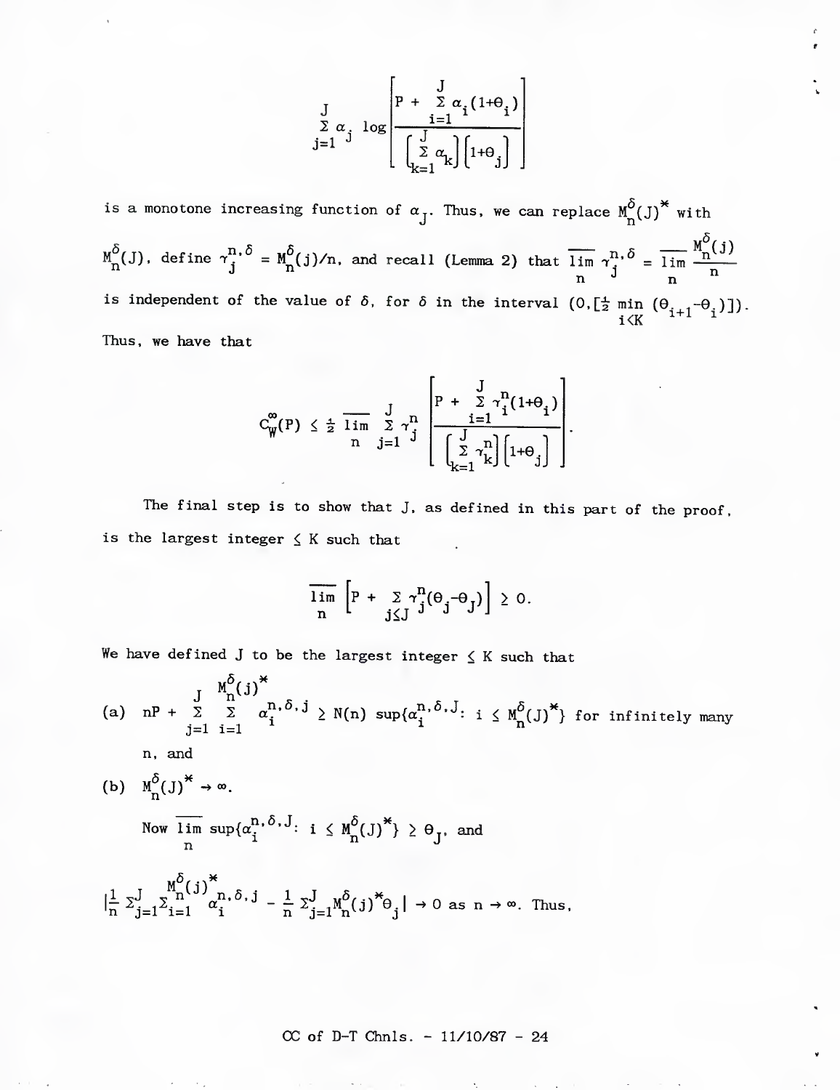$$
\int_{\substack{\sum \alpha_j \log\left(\frac{1}{\sum \alpha_k(1+\theta_j)}\right) \\ j=1}}^{\left[p + \sum \alpha_j(1+\theta_j)\right]}\n \frac{\log\left(\frac{1}{\sum \alpha_k(1+\theta_j)}\right)}{\left[\sum_{k=1}^J \alpha_k\right]\left[1+\theta_j\right]}
$$

is a monotone increasing function of  $\alpha_{J}$ . Thus, we can replace  $M_{n}^{\delta}(J)^{*}$  with  $n,\delta = M^{\delta}(\frac{1}{2})/n$  and recall (lemma 2) that  $\overline{lim}$   $n,\delta$  $\lim_{n \to \infty} \frac{M_0^{\delta}(J)}{n}$ , define  $\lim_{n \to \infty} \frac{M_0^{\delta}(j)}{n}$ , and recall (Lemma 2) that  $\lim_{n \to \infty} \frac{m_0 \delta}{n} = \lim_{n \to \infty} \frac{M_0^{\delta}(J)}{n}$ n '' n is independent of the value of  $\delta$ , for  $\delta$  in the interval  $(0, [\frac{1}{2} \text{ min }(\theta_{1,1}-\theta_1)])$ .  $i \lt K$   $\cdots$ Thus, we have that

$$
C_{\mathbf{W}}^{\infty}(P) \leq \frac{1}{2} \overline{\lim}_{n} \sum_{j=1}^{J} \gamma_{j}^{n} \left[ \frac{P + \sum_{i=1}^{J} \gamma_{i}^{n} (1+\theta_{i})}{\left(\sum_{k=1}^{J} \gamma_{k}^{n}\right) \left[1+\theta_{j}\right]} \right]
$$

The final step is to show that J, as defined in this part of the proof, is the largest integer  $\leq$  K such that

$$
\overline{\lim_{n}} \left[ P + \sum_{j \leq J} \gamma_j^n (\Theta_j - \Theta_j) \right] \geq 0.
$$

We have defined J to be the largest integer  $\leq K$  such that

n'  $J$   $n^{0}$ (a) nP +  $\Sigma$   $\Sigma$   $\alpha_j^{n_1, 0, j} \geq N(n)$  sup $\{\alpha_i^{n_1, 0, j}: i \leq M^O_{n}(J)^{\uparrow}\}\)$  for infinitely many j=l i=l n, and (b)  $M^{\delta}_{n}(J)^{*} \rightarrow \infty$ . Now lim sup $\{\alpha^{\prime\prime,\bullet}_i,\alpha^{\prime\prime}:\ i\leq M^\bullet(\mathrm{J})\}\geq \Theta_\tau$ , and

$$
\left|\frac{1}{n}\sum_{j=1}^{M} \sum_{i=1}^{M} \alpha_i^{(j)} \right|_i^* \hat{c}_{j} = \frac{1}{n}\sum_{j=1}^{J} \alpha_i^{(j)} \hat{c}_{j} \right| \to 0 \text{ as } n \to \infty. \text{ Thus,}
$$

 $n$   $\left( \begin{array}{ccc} 1 & -1 \\ 1 & -1 \end{array} \right)$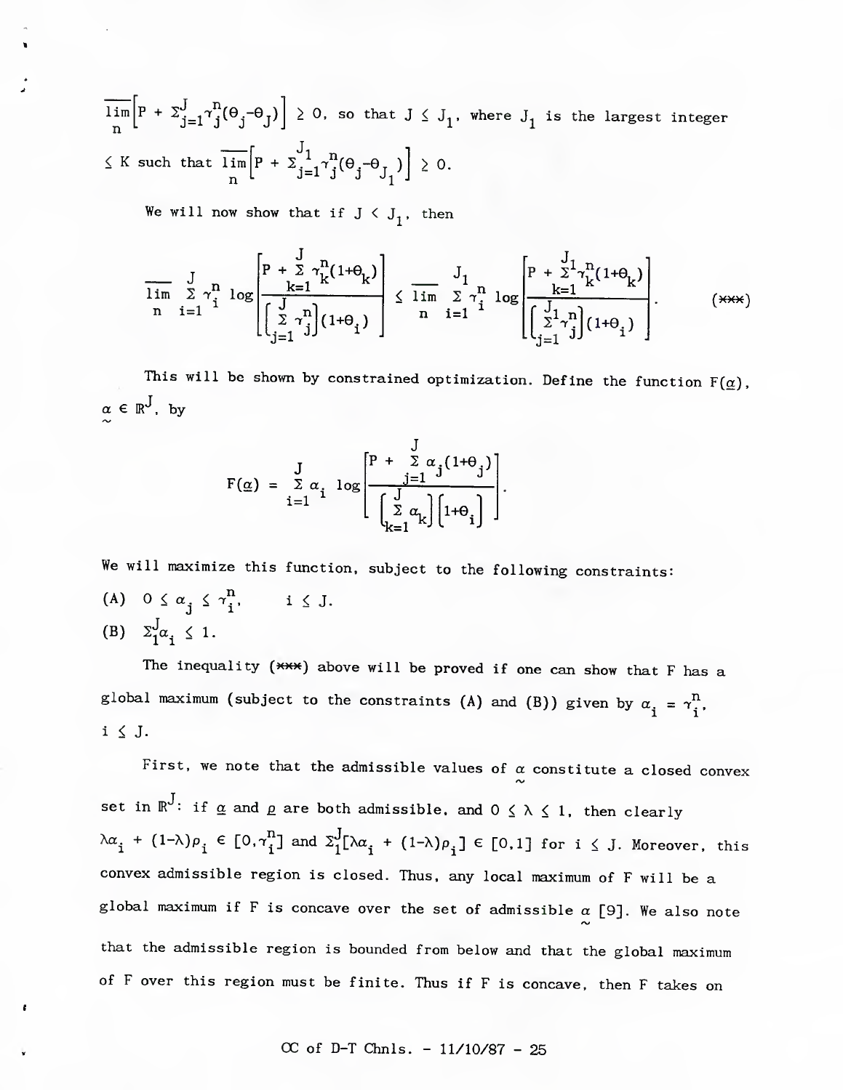lim n  $\left|P + \sum_{i=1}^{J} \gamma_i^2 (\Theta_i - \Theta_i) \right| \geq 0$ , so that  $J \leq J_1$ , where  $J_1$  is the largest integer  $\leq$  K such that lim n > 0.

We will now show that if  $J \subset J_1$ , then

$$
\frac{J}{\lim_{n} \sum_{i=1}^{N} \gamma_{i}^{n} \log \left[\frac{P + \sum_{k=1}^{J} \gamma_{k}^{n} (1 + \theta_{k})}{\left(\sum_{j=1}^{J} \gamma_{j}^{n}\right) (1 + \theta_{i})}\right] \leq \frac{J_{1}}{\lim_{n} \sum_{i=1}^{N} \gamma_{i}^{n} \log \left[\frac{P + \sum_{k=1}^{J} \gamma_{k}^{n} (1 + \theta_{k})}{\left(\sum_{j=1}^{J} \gamma_{j}^{n}\right) (1 + \theta_{i})}\right].
$$
 (\*\*\*)

This will be shown by constrained optimization. Define the function  $F(\alpha)$ ,  $\alpha \in \mathbb{R}^J$ , by

$$
F(\underline{\alpha}) = \sum_{i=1}^{J} \alpha_i \log \left[ \frac{P + \sum_{j=1}^{J} \alpha_j (1 + \theta_j)}{\left(\sum_{k=1}^{J} \alpha_k\right) \left[1 + \theta_i\right]} \right].
$$

We will maximize this function, subject to the following constraints: (A)  $0 \leq \alpha_j \leq \gamma_i^n$ ,  $i \leq J$ . (B)  $\Sigma_1^J \alpha_i \leq 1$ .

The inequality  $(***)$  above will be proved if one can show that F has a global maximum (subject to the constraints (A) and (B)) given by  $\alpha_i = \gamma_i^n$ .  $i \leq J$ .

First, we note that the admissible values of  $\alpha$  constitute a closed convex set in  $\mathbb{R}^J$ : if  $\underline{\alpha}$  and  $\underline{\rho}$  are both admissible, and  $0 \leq \lambda \leq 1$ , then clearly  $\lambda a_i + (1-\lambda)\rho_i \in [0, \tau_i^n]$  and  $\Sigma_1^J[\lambda a_i + (1-\lambda)\rho_i] \in [0,1]$  for  $i \leq J$ . Moreover, this convex admissible region is closed. Thus, any local maximum of F will be a global maximum if F is concave over the set of admissible  $\alpha$  [9]. We also note that the admissible region is bounded from below and that the global maximum of F over this region must be finite. Thus if F is concave, then F takes on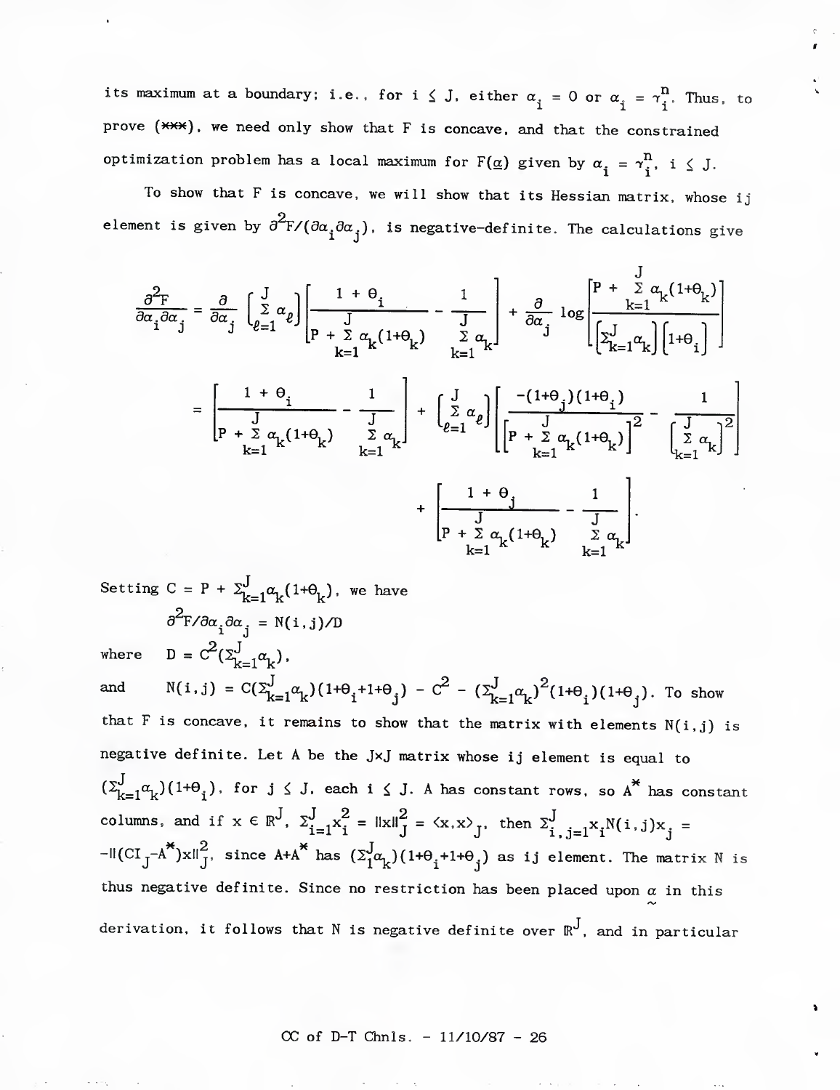its maximum at a boundary; i.e., for  $i \leq J$ , either  $\alpha_{\dot 1} = 0$  or  $\alpha_{\dot 1} = \gamma_{\dot 1}^{\rm II}$ . Thus, to prove  $(***)$ , we need only show that F is concave, and that the constrained optimization problem has a local maximum for  $F(\underline{\alpha})$  given by  $\alpha_i = \gamma_i^n$ , i  $\leq J$ .

To show that F is concave, we will show that its Hessian matrix, whose ij element is given by  $\partial^2 F/(\partial \alpha_j \partial \alpha_j)$ , is negative-definite. The calculations give

$$
\frac{\partial^2 F}{\partial \alpha_i \partial \alpha_j} = \frac{\partial}{\partial \alpha_j} \left[ \sum_{\ell=1}^J \alpha_\ell \right] \left[ \frac{1 + \theta_i}{J} - \frac{1}{J} \right] + \frac{\partial}{\partial \alpha_j} \log \left[ \frac{P + \sum_{k=1}^J \alpha_k (1 + \theta_k)}{\left[ \sum_{k=1}^J \alpha_k \right] \left[ 1 + \theta_i \right]} \right]
$$

$$
= \left[ \frac{1 + \theta_i}{J} - \frac{1}{J} \right] + \left[ \sum_{\ell=1}^J \alpha_\ell \right] \left[ \frac{-(1 + \theta_j)(1 + \theta_i)}{\left[ \sum_{k=1}^J \alpha_k \right] \left[ 1 + \theta_i \right]} \right]
$$

$$
+ \left[ \frac{J}{P + \sum_{k=1}^J \alpha_k (1 + \theta_k)} \sum_{k=1}^J \alpha_k \right] + \left[ \frac{1 + \theta_j}{P + \sum_{k=1}^J \alpha_k (1 + \theta_k)} \right]^2 - \left[ \frac{J}{\sum_{k=1}^J \alpha_k} \right]^2
$$

$$
+ \left[ \frac{1 + \theta_j}{P + \sum_{k=1}^J \alpha_k (1 + \theta_k)} - \frac{1}{\sum_{k=1}^J \alpha_k} \right].
$$

Setting  $C = P + \sum_{k=1}^{J} \alpha_k(1+\theta_k)$ , we have  $\partial^2 F / \partial \alpha_i \partial \alpha_j = N(i,j)/D$ where  $D = C^2(\Sigma_{k=1}^J \alpha_k)$ .

and  $N(i,j) = C(\sum_{k=1}^{J}\alpha_k)(1+\theta_i+1+\theta_j) - C^2 - (\sum_{k=1}^{J}\alpha_k)^2(1+\theta_i)(1+\theta_j)$ . To show that F is concave, it remains to show that the matrix with elements  $N(i,j)$  is negative definite. Let A be the JxJ matrix whose ij element is equal to  $(\Sigma_{k=1}^J \alpha_k)(1+\theta_i)$ , for  $j \leq J$ , each  $i \leq J$ . A has constant rows, so  $A^*$  has constant columns, and if  $x \in \mathbb{R}^J$ ,  $\sum_{i=1}^J x_i^2 = ||x||_J^2 = \langle x, x \rangle_J$ , then  $\sum_{i,j=1}^J x_i N(i,j)x_j =$  $\left[\text{Cl}_J-\text{A}^*)\text{xII}\right]_J^2$ , since  $\text{A+A}^*$  has  $\left(\sum_{1}^J\alpha_{k}\right)(1+\theta_{i}+1+\theta_{i})$  as ij element. The matrix N is thus negative definite. Since no restriction has been placed upon  $\alpha$  in this derivation, it follows that N is negative definite over  $\mathbb{R}^J$ , and in particular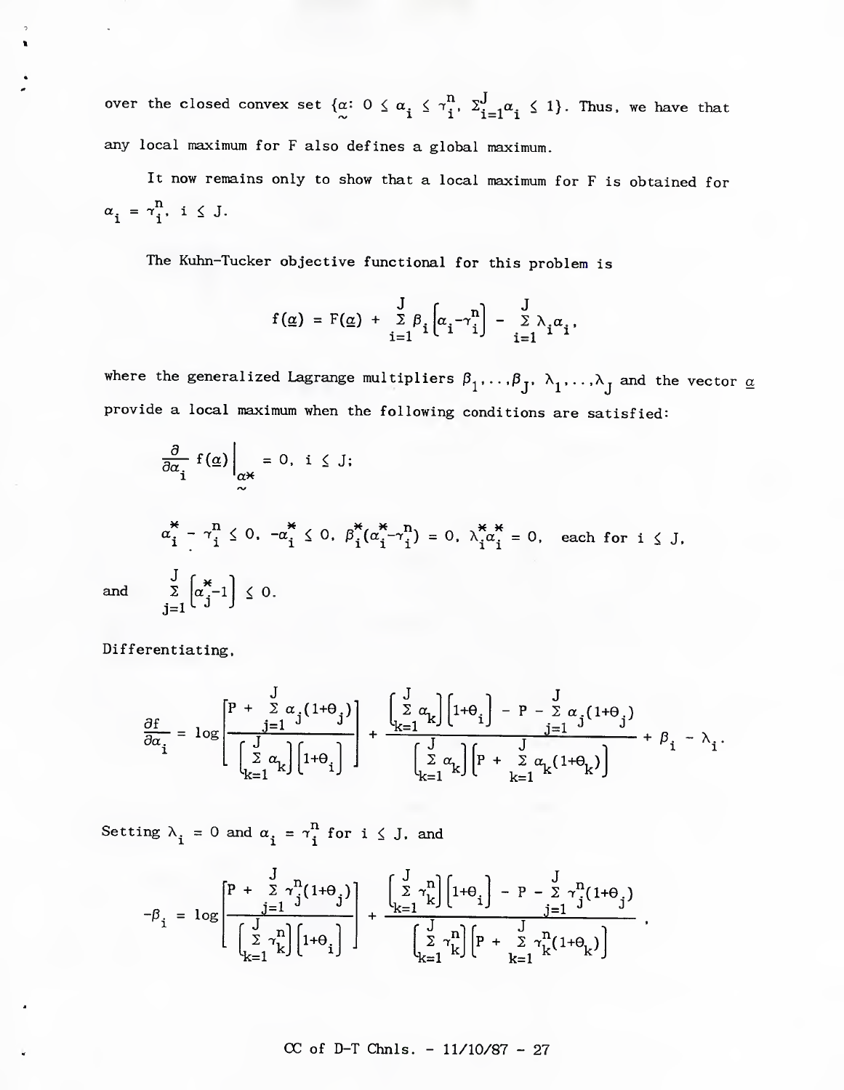over the closed convex set  $\{\alpha: 0 \leq \alpha_i \leq \gamma_i^n, \sum_{i=1}^J \alpha_i \leq 1\}$ . Thus, we have that any local maximum for F also defines a global maximum.

It now remains only to show that a local maximum for F is obtained for  $\alpha_i = \gamma_i^n$ ,  $i \leq J$ .

The Kuhn-Tucker objective functional for this problem is

$$
f(\underline{\alpha}) = F(\underline{\alpha}) + \frac{J}{\sum_{i=1}^{J} \beta_i} \left[ \alpha_i - \gamma_i^n \right] - \frac{J}{\sum_{i=1}^{J} \lambda_i} \alpha_i,
$$

where the generalized Lagrange multipliers  $\beta_1, \ldots, \beta_J, \lambda_1, \ldots, \lambda_J$  and the vector  $\underline{\alpha}$ provide a local maximum when the following conditions are satisfied:

$$
\frac{\partial}{\partial \alpha_i} f(\underline{\alpha})\Big|_{\alpha*} = 0, \quad i \leq J;
$$
\n
$$
\alpha_i^* - \gamma_i^n \leq 0, \quad -\alpha_i^* \leq 0, \quad \beta_i^*(\alpha_i^* - \gamma_i^n) = 0, \quad \lambda_i^* \alpha_i^* = 0, \quad \text{each for } i \leq J,
$$
\n
$$
\frac{J}{\sum_{j=1}^J} \left[\alpha_j^* - 1\right] \leq 0.
$$

and

Differentiating,

$$
\frac{\partial f}{\partial \alpha_i} = \log \left[ \frac{P + \sum\limits_{j=1}^J \alpha_j (1+\theta_j)}{\left(\sum\limits_{k=1}^J \alpha_k\right) \left[1+\theta_i\right]} \right] + \frac{\left(\sum\limits_{k=1}^J \alpha_k\right) \left[1+\theta_i\right] - P - \sum\limits_{j=1}^J \alpha_j (1+\theta_j)}{\left(\sum\limits_{k=1}^J \alpha_k\right) \left[P + \sum\limits_{k=1}^J \alpha_k (1+\theta_k)\right]} + \beta_i - \lambda_i.
$$

Setting  $\lambda_i = 0$  and  $\alpha_i = \gamma_i^n$  for  $i \leq J$ , and

$$
-\beta_{i} = \log \left[ \frac{P + \sum\limits_{j=1}^{J} \gamma_{j}^{n} (1+\theta_{j})}{\left(\sum\limits_{k=1}^{J} \gamma_{k}^{n}\right) \left[1+\theta_{i}\right]} \right] + \frac{\left(\sum\limits_{k=1}^{J} \gamma_{k}^{n}\right) \left[1+\theta_{i}\right] - P - \sum\limits_{j=1}^{J} \gamma_{j}^{n} (1+\theta_{j})}{\left(\sum\limits_{k=1}^{J} \gamma_{k}^{n}\right) \left[P + \sum\limits_{k=1}^{J} \gamma_{k}^{n} (1+\theta_{k})\right]}
$$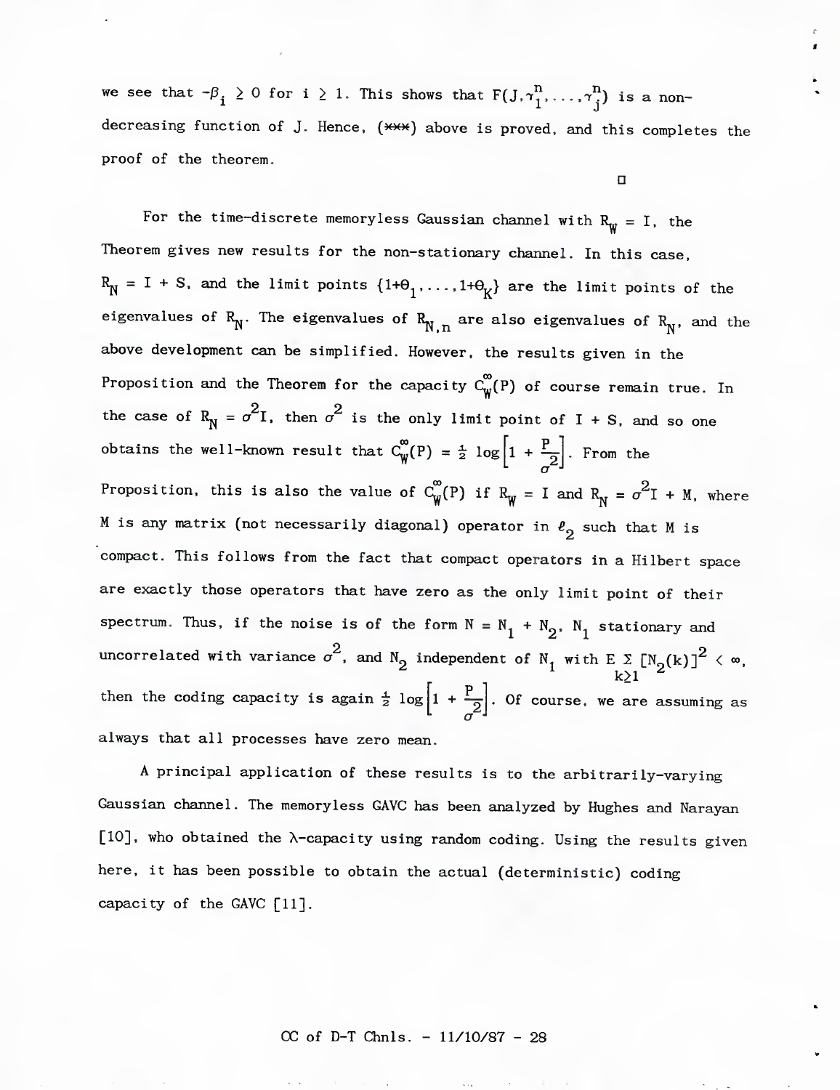we see that  $-\beta_i \geq 0$  for i  $\geq 1$ . This shows that  $F(J,\gamma_1^n,\ldots,\gamma_j^n)$  is a nondecreasing function of J. Hence,  $(***)$  above is proved, and this completes the proof of the theorem.

*U*

For the time-discrete memoryless Gaussian channel with  $R_{\psi} = I$ , the Theorem gives new results for the non-stationary channel. In this case,  $R_N^ = I + S$ , and the limit points  $\{1+0^1, \ldots, 1+0^1K\}$  are the limit points of the eigenvalues of  $R^N$ . The eigenvalues of  $R^N$ <sub>N.</sub> are also eigenvalues of  $R^N$ , and the above development can be simplified. However, the results given in the Proposition and the Theorem for the capacity  $C_W^{\infty}(P)$  of course remain true. In the case of  $R_N^{} = \sigma^2 I$ , then  $\sigma^2$  is the only limit point of I + S, and so one obtains the well-known result that  $C_W^{\infty}(P) = \frac{1}{2} \log \left[1 + \frac{P}{2}\right]$ . From the Proposition, this is also the value of  $C_W^{\infty}(P)$  if  $R_W^{} = I$  and  $R_N^{} = \sigma^2 I + M$ , where M is any matrix (not necessarily diagonal) operator in  $\ell_2$  such that M is compact. This follows from the fact that compact operators in a Hilbert space are exactly those operators that have zero as the only limit point of their spectrum. Thus, if the noise is of the form  $N = N_1 + N_2$ .  $N_1$  stationary and uncorrelated with variance  $\sigma^2$ , and  $N_2$  independent of  $N_1$  with  $E \sum_{k>1} [N_2(k)]^2 < \infty$ , k∑1 <del>″</del> *a* then the coding capacity is again  $\frac{1}{2} \log |1 + \frac{1}{2}|\right)$ . Of course, we are assuming as always that all processes have zero mean.

A principal application of these results is to the arbitrarily-varying Gaussian channel. The memoryless GAVC has been analyzed by Hughes and Narayan  $[10]$ , who obtained the  $\lambda$ -capacity using random coding. Using the results given here, it has been possible to obtain the actual (deterministic) coding capacity of the GAVC [11].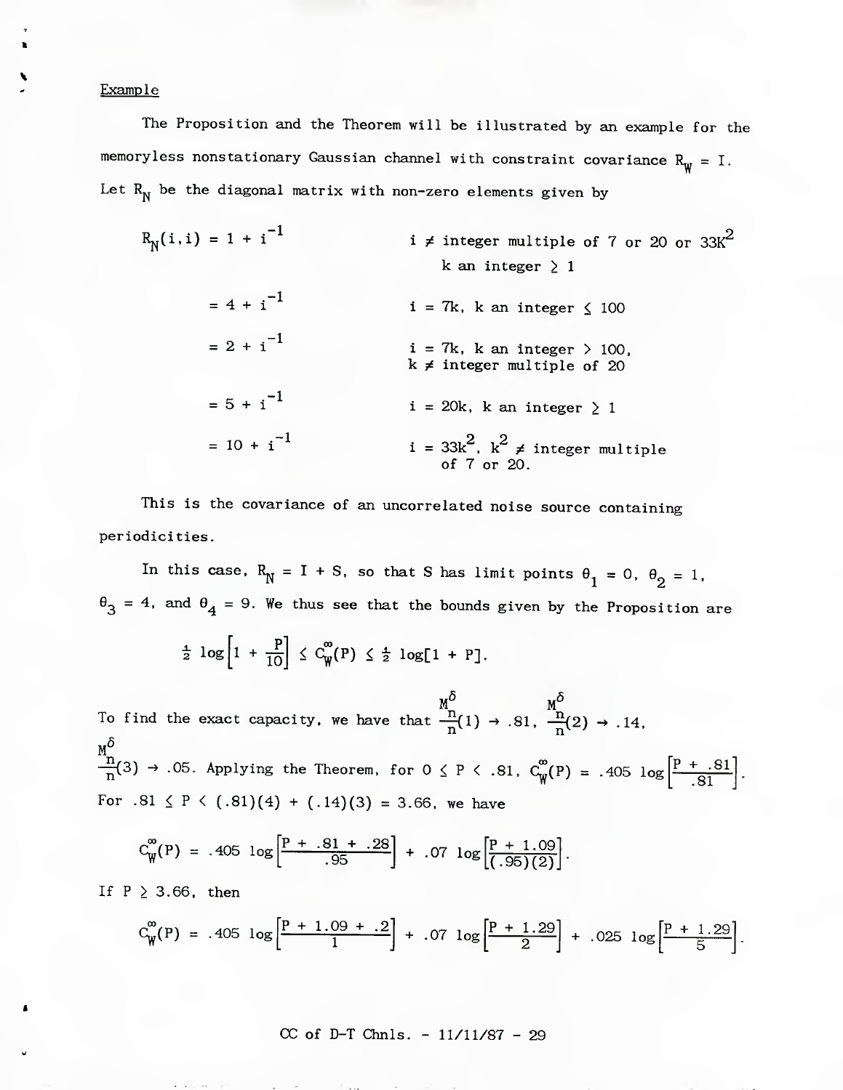Example

The Proposition and the Theorem will be illustrated by an example for the memoryless nonstationary Gaussian channel with constraint covariance  $R_{\text{W}} = I$ . Let  $R_N^{\prime}$  be the diagonal matrix with non-zero elements given by

 $R_N(i,i) = 1 + i^{-1}$  $= 4 + i^{-1}$  $= 2 + i^{-1}$  $= 5 + i^{-1}$  $= 10 + i^{-1}$  $i \neq$  integer multiple of 7 or 20 or 33K<sup>2</sup> k an integer  $\geq 1$  $i = 7k$ , k an integer  $\leq 100$  $i = 7k$ , k an integer  $> 100$ ,  $k \neq$  integer multiple of 20  $i = 20k$ , k an integer  $\geq 1$ i = 33k $^2$ , k $^2$  ≠ integer multiple of 7 or 20.

This is the covariance of an uncorrelated noise source containing periodicities.

In this case,  $R^N = I + S$ , so that S has limit points  $\theta_1 = 0$ ,  $\theta_2 = 1$ ,  $\theta_3 = 4$ , and  $\theta_4 = 9$ . We thus see that the bounds given by the Proposition are

$$
\frac{1}{2} \log \left[1 + \frac{P}{10}\right] \leq C_{\mathbf{W}}^{\infty}(\mathbf{P}) \leq \frac{1}{2} \log[1 + \mathbf{P}].
$$

To find the exact capacity, we have that  $\frac{\text{m}}{\text{n}}(1) \rightarrow .81$ ,  $\frac{\text{m}}{\text{n}}(2) \rightarrow .14$ ,  $-\frac{1}{p}(3) \rightarrow .05$ . Applying the Theorem, for  $0 \leq P \leq .81$ ,  $C_w^{\infty}(P) = .405$  log  $\left|\frac{P_{+} - .81}{Q_{-}P}\right|$ For .81  $\leq$  P  $\leq$  (.81)(4) + (.14)(3) = 3.66, we have .81

$$
C_{\mathbf{W}}^{\infty}(P) = .405 \log \left[\frac{P + .81 + .28}{.95}\right] + .07 \log \left[\frac{P + 1.09}{(.95)(2)}\right].
$$

If  $P \geq 3.66$ , then

$$
C_{\mathbf{W}}^{\infty}(P) = .405 \log \left[\frac{P+1.09+.2}{1}\right] + .07 \log \left[\frac{P+1.29}{2}\right] + .025 \log \left[\frac{P+1.29}{5}\right].
$$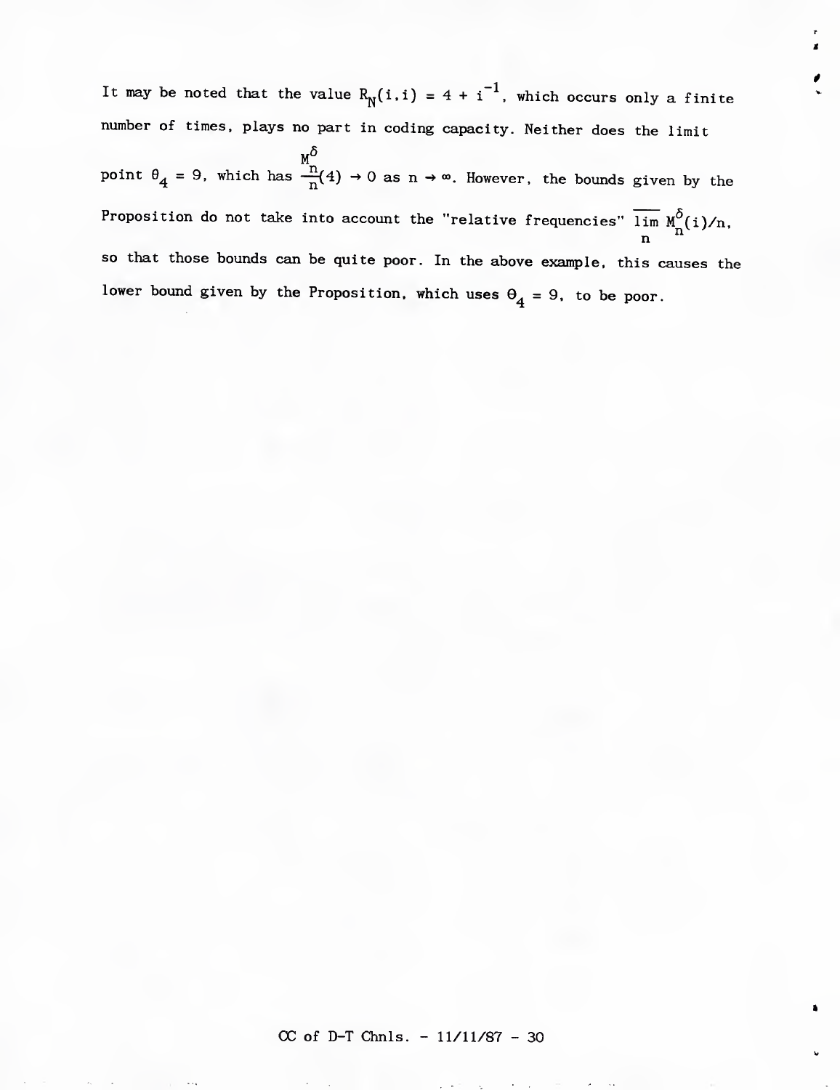It may be noted that the value  $R_N(i,i) = 4 + i^{-1}$ , which occurs only a finite number of times, plays no part in coding capacity. Neither does the limit  $M_{\odot}$ point  $\theta^{}_4$  = 9, which has  $\frac{44}{n}(4) \rightarrow 0$  as n  $\rightarrow \infty$ . However, the bounds given by the Proposition do not take into account the "relative frequencies" lim  $M_{n}^{O}(i)/n$ ,<br>n SO that those bounds can be quite poor. In the above example, this causes the lower bound given by the Proposition, which uses  $\theta_4 = 9$ , to be poor.

*M.*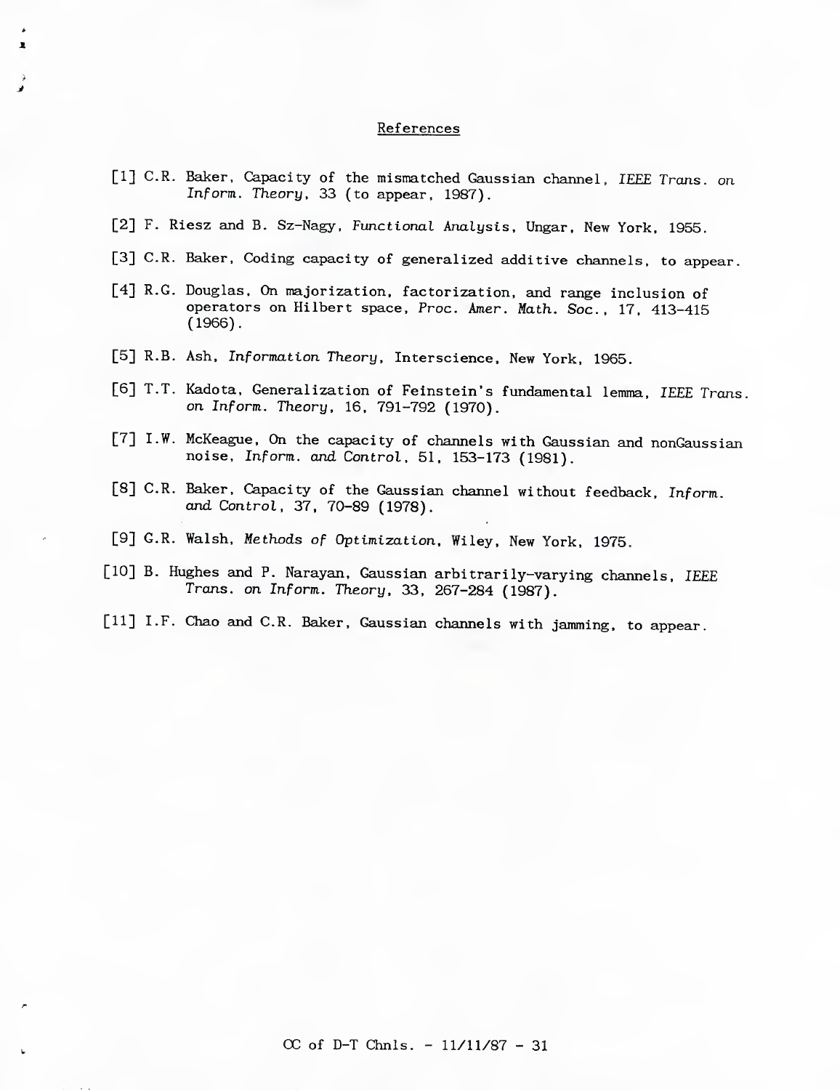# **References**

|  | [1] C.R. Baker, Capacity of the mismatched Gaussian channel, IEEE Trans. on<br>Inform. Theory, 33 (to appear, 1987).                                      |
|--|-----------------------------------------------------------------------------------------------------------------------------------------------------------|
|  | [2] F. Riesz and B. Sz-Nagy, Functional Analysis, Ungar, New York, 1955.                                                                                  |
|  | [3] C.R. Baker, Coding capacity of generalized additive channels, to appear.                                                                              |
|  | [4] R.G. Douglas, On majorization, factorization, and range inclusion of<br>operators on Hilbert space, Proc. Amer. Math. Soc., 17, 413-415<br>$(1966)$ . |
|  | [5] R.B. Ash, Information Theory, Interscience, New York, 1965.                                                                                           |
|  | [6] T.T. Kadota, Generalization of Feinstein's fundamental lemma, IEEE Trans.<br>on Inform. Theory, 16, 791-792 (1970).                                   |
|  | [7] I.W. McKeague, On the capacity of channels with Gaussian and nonGaussian<br>noise, Inform. and Control, 51, 153-173 (1981).                           |
|  | [8] C.R. Baker, Capacity of the Gaussian channel without feedback, Inform.<br>and Control, 37, 70-89 (1978).                                              |
|  | [9] G.R. Walsh, Methods of Optimization, Wiley, New York, 1975.                                                                                           |
|  | [10] B. Hughes and P. Narayan, Gaussian arbitrarily-varying channels, IEEE<br>Trans. on Inform. Theory, 33, 267-284 (1987).                               |
|  | [11] I.F. Chao and C.R. Baker, Gaussian channels with jamming, to appear.                                                                                 |